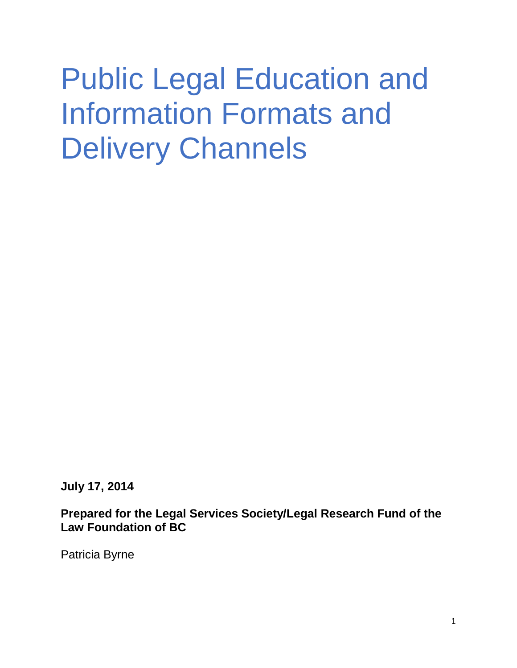# Public Legal Education and Information Formats and Delivery Channels

**July 17, 2014**

**Prepared for the Legal Services Society/Legal Research Fund of the Law Foundation of BC**

Patricia Byrne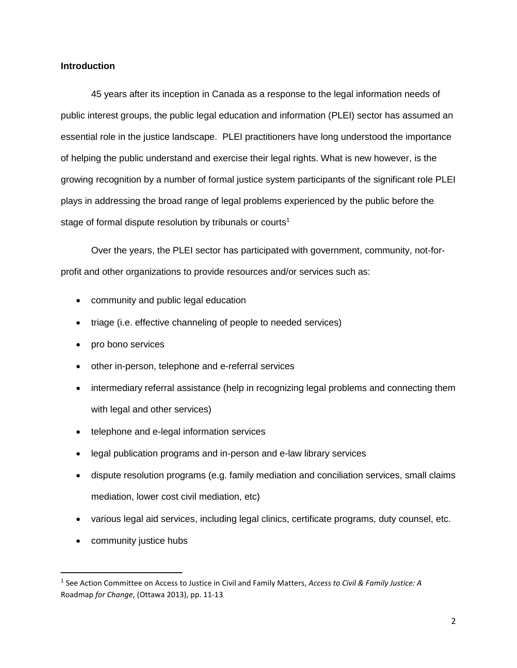# **Introduction**

45 years after its inception in Canada as a response to the legal information needs of public interest groups, the public legal education and information (PLEI) sector has assumed an essential role in the justice landscape. PLEI practitioners have long understood the importance of helping the public understand and exercise their legal rights. What is new however, is the growing recognition by a number of formal justice system participants of the significant role PLEI plays in addressing the broad range of legal problems experienced by the public before the stage of formal dispute resolution by tribunals or courts<sup>1</sup>

Over the years, the PLEI sector has participated with government, community, not-forprofit and other organizations to provide resources and/or services such as:

- community and public legal education
- triage (i.e. effective channeling of people to needed services)
- pro bono services
- other in-person, telephone and e-referral services
- intermediary referral assistance (help in recognizing legal problems and connecting them with legal and other services)
- telephone and e-legal information services
- legal publication programs and in-person and e-law library services
- dispute resolution programs (e.g. family mediation and conciliation services, small claims mediation, lower cost civil mediation, etc)
- various legal aid services, including legal clinics, certificate programs, duty counsel, etc.
- community justice hubs

<sup>1</sup> See Action Committee on Access to Justice in Civil and Family Matters, *Access to Civil & Family Justice: A* Roadmap *for Change*, (Ottawa 2013), pp. 11-13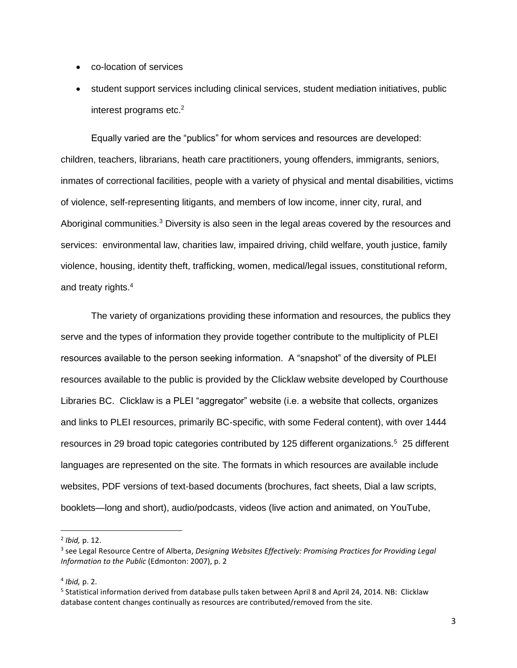- co-location of services
- student support services including clinical services, student mediation initiatives, public interest programs etc.<sup>2</sup>

Equally varied are the "publics" for whom services and resources are developed: children, teachers, librarians, heath care practitioners, young offenders, immigrants, seniors, inmates of correctional facilities, people with a variety of physical and mental disabilities, victims of violence, self-representing litigants, and members of low income, inner city, rural, and Aboriginal communities.<sup>3</sup> Diversity is also seen in the legal areas covered by the resources and services: environmental law, charities law, impaired driving, child welfare, youth justice, family violence, housing, identity theft, trafficking, women, medical/legal issues, constitutional reform, and treaty rights.<sup>4</sup>

The variety of organizations providing these information and resources, the publics they serve and the types of information they provide together contribute to the multiplicity of PLEI resources available to the person seeking information. A "snapshot" of the diversity of PLEI resources available to the public is provided by the Clicklaw website developed by Courthouse Libraries BC. Clicklaw is a PLEI "aggregator" website (i.e. a website that collects, organizes and links to PLEI resources, primarily BC-specific, with some Federal content), with over 1444 resources in 29 broad topic categories contributed by 125 different organizations.<sup>5</sup> 25 different languages are represented on the site. The formats in which resources are available include websites, PDF versions of text-based documents (brochures, fact sheets, Dial a law scripts, booklets—long and short), audio/podcasts, videos (live action and animated, on YouTube,

<sup>2</sup> *Ibid,* p. 12.

<sup>3</sup> see Legal Resource Centre of Alberta, *Designing Websites Effectively: Promising Practices for Providing Legal Information to the Public* (Edmonton: 2007), p. 2

<sup>4</sup> *Ibid,* p. 2.

<sup>&</sup>lt;sup>5</sup> Statistical information derived from database pulls taken between April 8 and April 24, 2014. NB: Clicklaw database content changes continually as resources are contributed/removed from the site.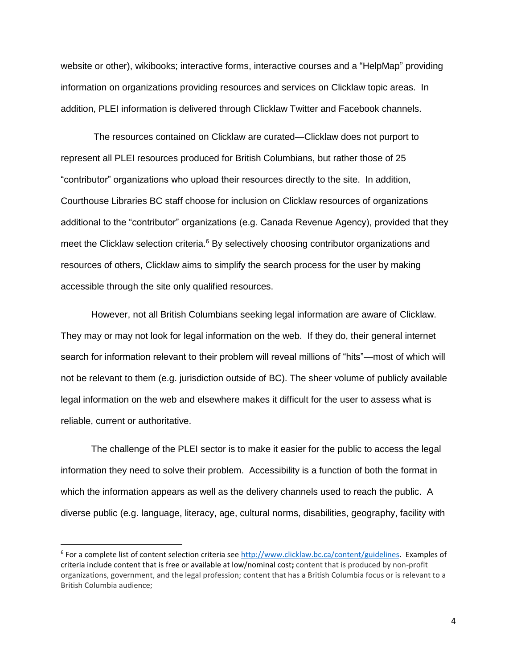website or other), wikibooks; interactive forms, interactive courses and a "HelpMap" providing information on organizations providing resources and services on Clicklaw topic areas. In addition, PLEI information is delivered through Clicklaw Twitter and Facebook channels.

The resources contained on Clicklaw are curated—Clicklaw does not purport to represent all PLEI resources produced for British Columbians, but rather those of 25 "contributor" organizations who upload their resources directly to the site. In addition, Courthouse Libraries BC staff choose for inclusion on Clicklaw resources of organizations additional to the "contributor" organizations (e.g. Canada Revenue Agency), provided that they meet the Clicklaw selection criteria.<sup>6</sup> By selectively choosing contributor organizations and resources of others, Clicklaw aims to simplify the search process for the user by making accessible through the site only qualified resources.

However, not all British Columbians seeking legal information are aware of Clicklaw. They may or may not look for legal information on the web. If they do, their general internet search for information relevant to their problem will reveal millions of "hits"—most of which will not be relevant to them (e.g. jurisdiction outside of BC). The sheer volume of publicly available legal information on the web and elsewhere makes it difficult for the user to assess what is reliable, current or authoritative.

The challenge of the PLEI sector is to make it easier for the public to access the legal information they need to solve their problem. Accessibility is a function of both the format in which the information appears as well as the delivery channels used to reach the public. A diverse public (e.g. language, literacy, age, cultural norms, disabilities, geography, facility with

<sup>&</sup>lt;sup>6</sup> For a complete list of content selection criteria se[e http://www.clicklaw.bc.ca/content/guidelines.](http://www.clicklaw.bc.ca/content/guidelines) Examples of criteria include content that is free or available at low/nominal cost**;** content that is produced by non-profit organizations, government, and the legal profession; content that has a British Columbia focus or is relevant to a British Columbia audience;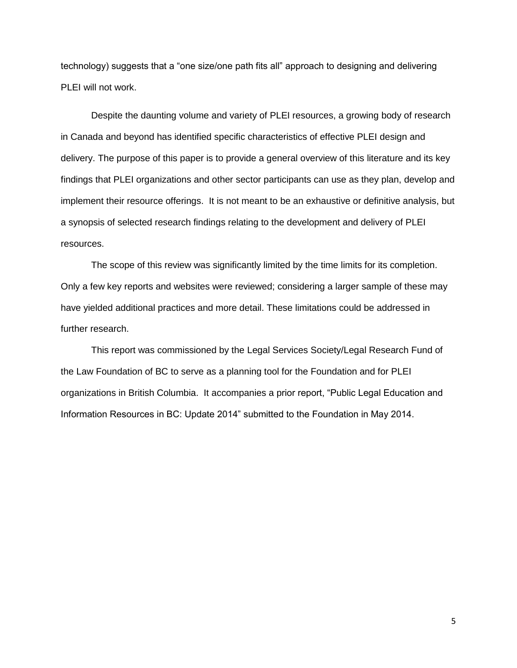technology) suggests that a "one size/one path fits all" approach to designing and delivering PLEI will not work.

Despite the daunting volume and variety of PLEI resources, a growing body of research in Canada and beyond has identified specific characteristics of effective PLEI design and delivery. The purpose of this paper is to provide a general overview of this literature and its key findings that PLEI organizations and other sector participants can use as they plan, develop and implement their resource offerings. It is not meant to be an exhaustive or definitive analysis, but a synopsis of selected research findings relating to the development and delivery of PLEI resources.

The scope of this review was significantly limited by the time limits for its completion. Only a few key reports and websites were reviewed; considering a larger sample of these may have yielded additional practices and more detail. These limitations could be addressed in further research.

This report was commissioned by the Legal Services Society/Legal Research Fund of the Law Foundation of BC to serve as a planning tool for the Foundation and for PLEI organizations in British Columbia. It accompanies a prior report, "Public Legal Education and Information Resources in BC: Update 2014" submitted to the Foundation in May 2014.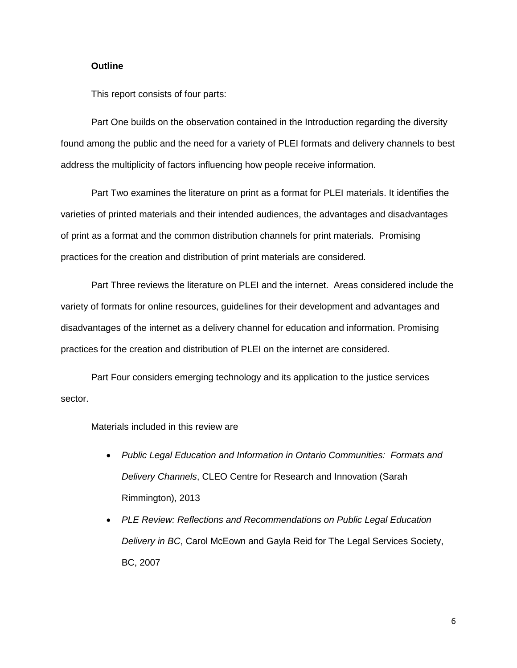## **Outline**

This report consists of four parts:

Part One builds on the observation contained in the Introduction regarding the diversity found among the public and the need for a variety of PLEI formats and delivery channels to best address the multiplicity of factors influencing how people receive information.

Part Two examines the literature on print as a format for PLEI materials. It identifies the varieties of printed materials and their intended audiences, the advantages and disadvantages of print as a format and the common distribution channels for print materials. Promising practices for the creation and distribution of print materials are considered.

Part Three reviews the literature on PLEI and the internet. Areas considered include the variety of formats for online resources, guidelines for their development and advantages and disadvantages of the internet as a delivery channel for education and information. Promising practices for the creation and distribution of PLEI on the internet are considered.

Part Four considers emerging technology and its application to the justice services sector.

Materials included in this review are

- *Public Legal Education and Information in Ontario Communities: Formats and Delivery Channels*, CLEO Centre for Research and Innovation (Sarah Rimmington), 2013
- *PLE Review: Reflections and Recommendations on Public Legal Education Delivery in BC*, Carol McEown and Gayla Reid for The Legal Services Society, BC, 2007

6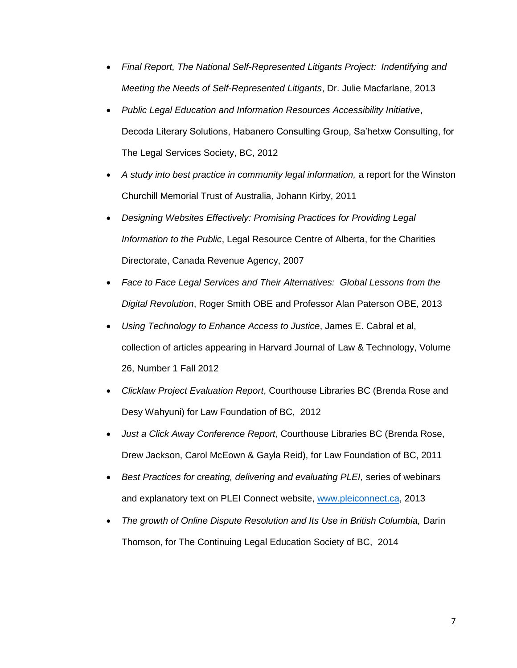- *Final Report, The National Self-Represented Litigants Project: Indentifying and Meeting the Needs of Self-Represented Litigants*, Dr. Julie Macfarlane, 2013
- *Public Legal Education and Information Resources Accessibility Initiative*, Decoda Literary Solutions, Habanero Consulting Group, Sa'hetxw Consulting, for The Legal Services Society, BC, 2012
- *A study into best practice in community legal information,* a report for the Winston Churchill Memorial Trust of Australia*,* Johann Kirby, 2011
- *Designing Websites Effectively: Promising Practices for Providing Legal Information to the Public*, Legal Resource Centre of Alberta, for the Charities Directorate, Canada Revenue Agency, 2007
- *Face to Face Legal Services and Their Alternatives: Global Lessons from the Digital Revolution*, Roger Smith OBE and Professor Alan Paterson OBE, 2013
- *Using Technology to Enhance Access to Justice*, James E. Cabral et al, collection of articles appearing in Harvard Journal of Law & Technology, Volume 26, Number 1 Fall 2012
- *Clicklaw Project Evaluation Report*, Courthouse Libraries BC (Brenda Rose and Desy Wahyuni) for Law Foundation of BC, 2012
- *Just a Click Away Conference Report*, Courthouse Libraries BC (Brenda Rose, Drew Jackson, Carol McEown & Gayla Reid), for Law Foundation of BC, 2011
- **Best Practices for creating, delivering and evaluating PLEI, series of webinars** and explanatory text on PLEI Connect website, [www.pleiconnect.ca,](http://www.pleiconnect.ca/) 2013
- *The growth of Online Dispute Resolution and Its Use in British Columbia, Darin* Thomson, for The Continuing Legal Education Society of BC, 2014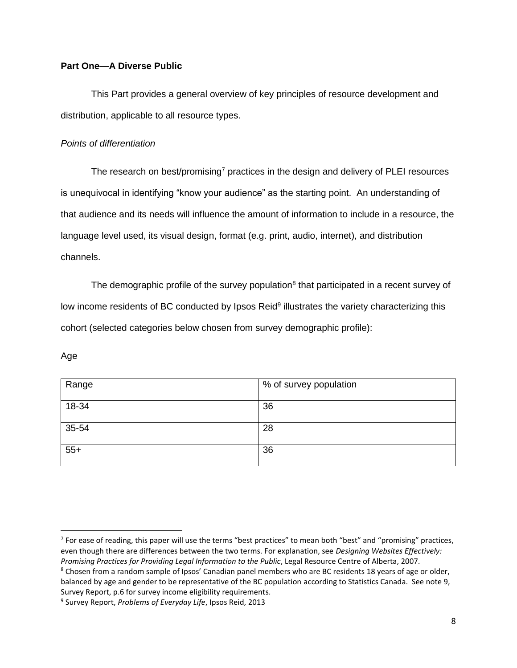# **Part One—A Diverse Public**

This Part provides a general overview of key principles of resource development and distribution, applicable to all resource types.

# *Points of differentiation*

The research on best/promising<sup>7</sup> practices in the design and delivery of PLEI resources is unequivocal in identifying "know your audience" as the starting point. An understanding of that audience and its needs will influence the amount of information to include in a resource, the language level used, its visual design, format (e.g. print, audio, internet), and distribution channels.

The demographic profile of the survey population<sup>8</sup> that participated in a recent survey of low income residents of BC conducted by Ipsos Reid<sup>9</sup> illustrates the variety characterizing this cohort (selected categories below chosen from survey demographic profile):

# Age

| Range | % of survey population |
|-------|------------------------|
| 18-34 | 36                     |
| 35-54 | 28                     |
| $55+$ | 36                     |

<sup>&</sup>lt;sup>7</sup> For ease of reading, this paper will use the terms "best practices" to mean both "best" and "promising" practices, even though there are differences between the two terms. For explanation, see *Designing Websites Effectively: Promising Practices for Providing Legal Information to the Public*, Legal Resource Centre of Alberta, 2007.

<sup>&</sup>lt;sup>8</sup> Chosen from a random sample of Ipsos' Canadian panel members who are BC residents 18 years of age or older, balanced by age and gender to be representative of the BC population according to Statistics Canada. See note 9, Survey Report, p.6 for survey income eligibility requirements.

<sup>9</sup> Survey Report, *Problems of Everyday Life*, Ipsos Reid, 2013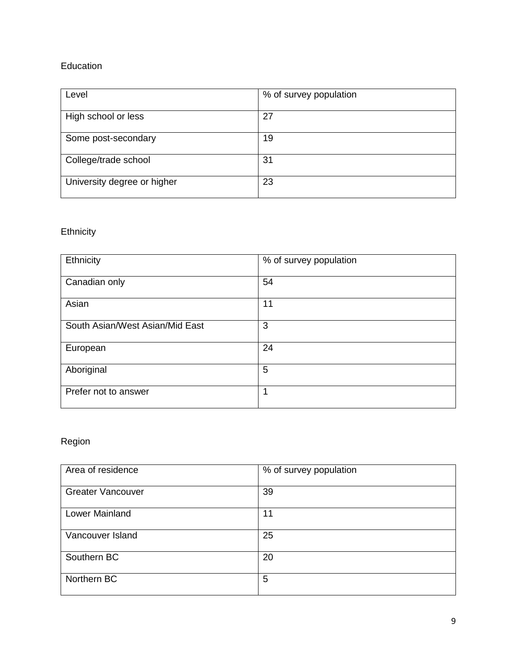# Education

| Level                       | % of survey population |
|-----------------------------|------------------------|
| High school or less         | 27                     |
| Some post-secondary         | 19                     |
| College/trade school        | 31                     |
| University degree or higher | 23                     |

# **Ethnicity**

| Ethnicity                       | % of survey population |
|---------------------------------|------------------------|
| Canadian only                   | 54                     |
| Asian                           | 11                     |
| South Asian/West Asian/Mid East | 3                      |
| European                        | 24                     |
| Aboriginal                      | 5                      |
| Prefer not to answer            | 1                      |

# Region

| Area of residence        | % of survey population |
|--------------------------|------------------------|
| <b>Greater Vancouver</b> | 39                     |
| Lower Mainland           | 11                     |
| Vancouver Island         | 25                     |
| Southern BC              | 20                     |
| Northern BC              | 5                      |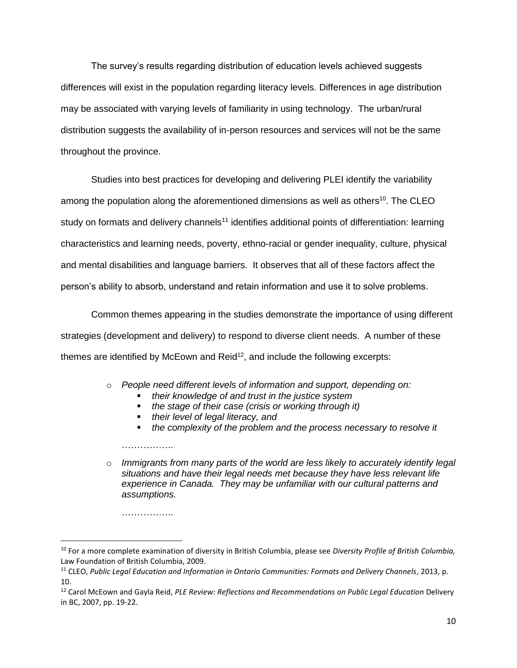The survey's results regarding distribution of education levels achieved suggests differences will exist in the population regarding literacy levels. Differences in age distribution may be associated with varying levels of familiarity in using technology. The urban/rural distribution suggests the availability of in-person resources and services will not be the same throughout the province.

Studies into best practices for developing and delivering PLEI identify the variability among the population along the aforementioned dimensions as well as others<sup>10</sup>. The CLEO study on formats and delivery channels<sup>11</sup> identifies additional points of differentiation: learning characteristics and learning needs, poverty, ethno-racial or gender inequality, culture, physical and mental disabilities and language barriers. It observes that all of these factors affect the person's ability to absorb, understand and retain information and use it to solve problems.

Common themes appearing in the studies demonstrate the importance of using different strategies (development and delivery) to respond to diverse client needs. A number of these themes are identified by McEown and Reid $12$ , and include the following excerpts:

o *People need different levels of information and support, depending on:*

- *their knowledge of and trust in the justice system*
- *the stage of their case (crisis or working through it)*
- *their level of legal literacy, and*
- *the complexity of the problem and the process necessary to resolve it*

o *Immigrants from many parts of the world are less likely to accurately identify legal situations and have their legal needs met because they have less relevant life experience in Canada. They may be unfamiliar with our cultural patterns and assumptions.*

……………..

 $\overline{a}$ 

……………..

<sup>10</sup> For a more complete examination of diversity in British Columbia, please see *Diversity Profile of British Columbia,* Law Foundation of British Columbia, 2009.

<sup>&</sup>lt;sup>11</sup> CLEO, Public Legal Education and Information in Ontario Communities: Formats and Delivery Channels, 2013, p. 10.

<sup>12</sup> Carol McEown and Gayla Reid, *PLE Review: Reflections and Recommendations on Public Legal Education* Delivery in BC, 2007, pp. 19-22.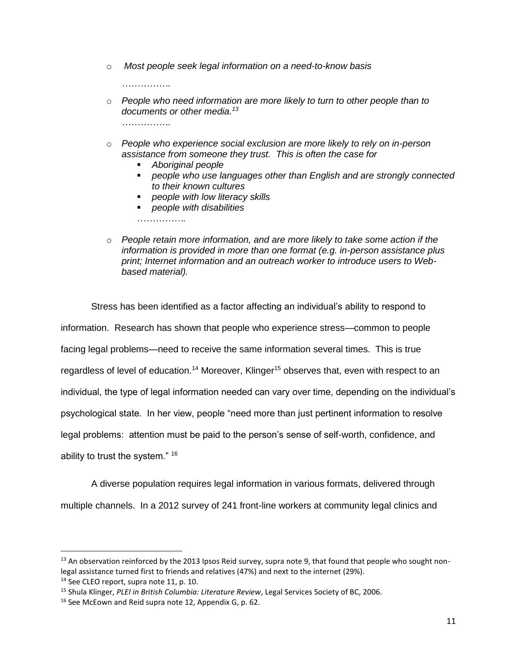o *Most people seek legal information on a need-to-know basis*

*…………….*

- o *People who need information are more likely to turn to other people than to documents or other media.<sup>13</sup> …………….*
- o *People who experience social exclusion are more likely to rely on in-person assistance from someone they trust. This is often the case for*
	- *Aboriginal people*
	- *people who use languages other than English and are strongly connected to their known cultures*
	- *people with low literacy skills*
	- *people with disabilities*

*…………….*

o *People retain more information, and are more likely to take some action if the information is provided in more than one format (e.g. in-person assistance plus print; Internet information and an outreach worker to introduce users to Webbased material).*

Stress has been identified as a factor affecting an individual's ability to respond to information. Research has shown that people who experience stress—common to people facing legal problems—need to receive the same information several times. This is true regardless of level of education.<sup>14</sup> Moreover, Klinger<sup>15</sup> observes that, even with respect to an individual, the type of legal information needed can vary over time, depending on the individual's psychological state. In her view, people "need more than just pertinent information to resolve legal problems: attention must be paid to the person's sense of self-worth, confidence, and ability to trust the system." <sup>16</sup>

A diverse population requires legal information in various formats, delivered through multiple channels. In a 2012 survey of 241 front-line workers at community legal clinics and

 $13$  An observation reinforced by the 2013 Ipsos Reid survey, supra note 9, that found that people who sought nonlegal assistance turned first to friends and relatives (47%) and next to the internet (29%).

<sup>&</sup>lt;sup>14</sup> See CLEO report, supra note 11, p. 10.

<sup>15</sup> Shula Klinger, *PLEI in British Columbia: Literature Review*, Legal Services Society of BC, 2006.

<sup>&</sup>lt;sup>16</sup> See McEown and Reid supra note 12, Appendix G, p. 62.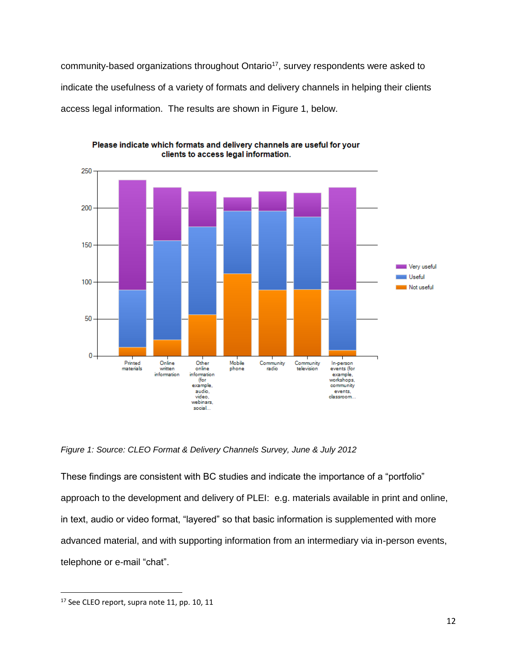community-based organizations throughout Ontario<sup>17</sup>, survey respondents were asked to indicate the usefulness of a variety of formats and delivery channels in helping their clients access legal information. The results are shown in Figure 1, below.



Please indicate which formats and delivery channels are useful for your clients to access legal information.

*Figure 1: Source: CLEO Format & Delivery Channels Survey, June & July 2012*

These findings are consistent with BC studies and indicate the importance of a "portfolio" approach to the development and delivery of PLEI: e.g. materials available in print and online, in text, audio or video format, "layered" so that basic information is supplemented with more advanced material, and with supporting information from an intermediary via in-person events, telephone or e-mail "chat".

<sup>&</sup>lt;sup>17</sup> See CLEO report, supra note 11, pp. 10, 11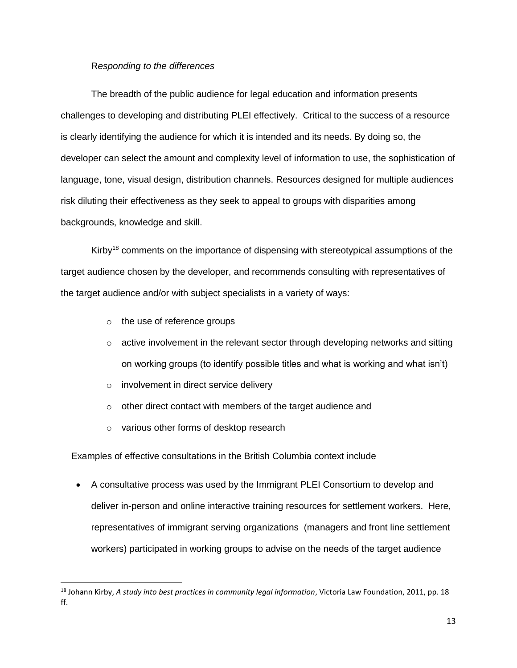# R*esponding to the differences*

The breadth of the public audience for legal education and information presents challenges to developing and distributing PLEI effectively. Critical to the success of a resource is clearly identifying the audience for which it is intended and its needs. By doing so, the developer can select the amount and complexity level of information to use, the sophistication of language, tone, visual design, distribution channels. Resources designed for multiple audiences risk diluting their effectiveness as they seek to appeal to groups with disparities among backgrounds, knowledge and skill.

Kirby<sup>18</sup> comments on the importance of dispensing with stereotypical assumptions of the target audience chosen by the developer, and recommends consulting with representatives of the target audience and/or with subject specialists in a variety of ways:

o the use of reference groups

l

- $\circ$  active involvement in the relevant sector through developing networks and sitting on working groups (to identify possible titles and what is working and what isn't)
- o involvement in direct service delivery
- o other direct contact with members of the target audience and
- o various other forms of desktop research

Examples of effective consultations in the British Columbia context include

 A consultative process was used by the Immigrant PLEI Consortium to develop and deliver in-person and online interactive training resources for settlement workers. Here, representatives of immigrant serving organizations (managers and front line settlement workers) participated in working groups to advise on the needs of the target audience

<sup>18</sup> Johann Kirby, *A study into best practices in community legal information*, Victoria Law Foundation, 2011, pp. 18 ff.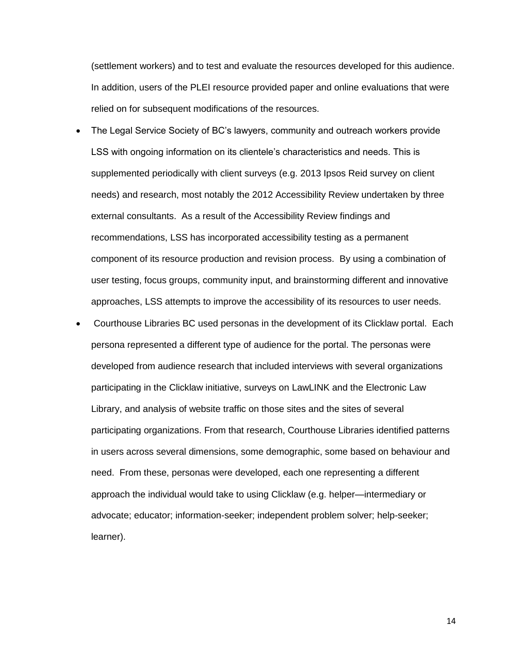(settlement workers) and to test and evaluate the resources developed for this audience. In addition, users of the PLEI resource provided paper and online evaluations that were relied on for subsequent modifications of the resources.

- The Legal Service Society of BC's lawyers, community and outreach workers provide LSS with ongoing information on its clientele's characteristics and needs. This is supplemented periodically with client surveys (e.g. 2013 Ipsos Reid survey on client needs) and research, most notably the 2012 Accessibility Review undertaken by three external consultants. As a result of the Accessibility Review findings and recommendations, LSS has incorporated accessibility testing as a permanent component of its resource production and revision process. By using a combination of user testing, focus groups, community input, and brainstorming different and innovative approaches, LSS attempts to improve the accessibility of its resources to user needs.
- Courthouse Libraries BC used personas in the development of its Clicklaw portal. Each persona represented a different type of audience for the portal. The personas were developed from audience research that included interviews with several organizations participating in the Clicklaw initiative, surveys on [LawLINK](http://www.lawlink.bc.ca/) and the [Electronic Law](http://www.bclibrary.ca/ell/) [Library,](http://www.bclibrary.ca/ell/) and analysis of website traffic on those sites and the sites of several participating organizations. From that research, Courthouse Libraries identified patterns in users across several dimensions, some demographic, some based on behaviour and need. From these, personas were developed, each one representing a different approach the individual would take to using Clicklaw (e.g. helper—intermediary or advocate; educator; information-seeker; independent problem solver; help-seeker; learner).

14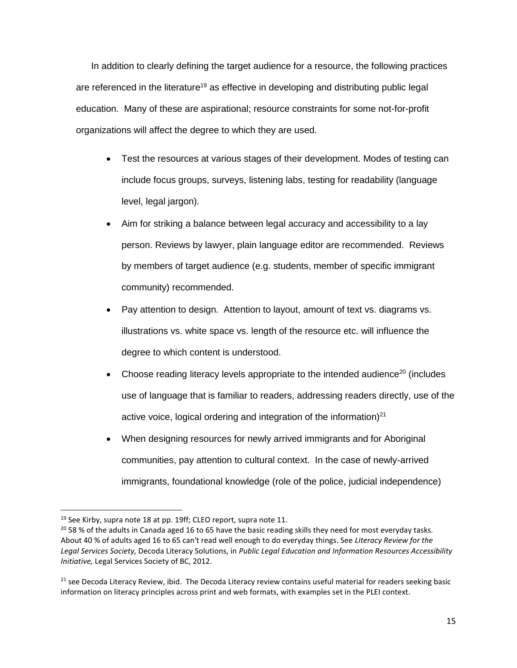In addition to clearly defining the target audience for a resource, the following practices are referenced in the literature<sup>19</sup> as effective in developing and distributing public legal education. Many of these are aspirational; resource constraints for some not-for-profit organizations will affect the degree to which they are used.

- Test the resources at various stages of their development. Modes of testing can include focus groups, surveys, listening labs, testing for readability (language level, legal jargon).
- Aim for striking a balance between legal accuracy and accessibility to a lay person. Reviews by lawyer, plain language editor are recommended. Reviews by members of target audience (e.g. students, member of specific immigrant community) recommended.
- Pay attention to design. Attention to layout, amount of text vs. diagrams vs. illustrations vs. white space vs. length of the resource etc. will influence the degree to which content is understood.
- Choose reading literacy levels appropriate to the intended audience<sup>20</sup> (includes use of language that is familiar to readers, addressing readers directly, use of the active voice, logical ordering and integration of the information) $21$
- When designing resources for newly arrived immigrants and for Aboriginal communities, pay attention to cultural context. In the case of newly-arrived immigrants, foundational knowledge (role of the police, judicial independence)

<sup>&</sup>lt;sup>19</sup> See Kirby, supra note 18 at pp. 19ff; CLEO report, supra note 11.

<sup>&</sup>lt;sup>20</sup> 58 % of the adults in Canada aged 16 to 65 have the basic reading skills they need for most everyday tasks. About 40 % of adults aged 16 to 65 can't read well enough to do everyday things. See *Literacy Review for the Legal Services Society,* Decoda Literacy Solutions, in *Public Legal Education and Information Resources Accessibility Initiative,* Legal Services Society of BC, 2012.

<sup>&</sup>lt;sup>21</sup> see Decoda Literacy Review, ibid. The Decoda Literacy review contains useful material for readers seeking basic information on literacy principles across print and web formats, with examples set in the PLEI context.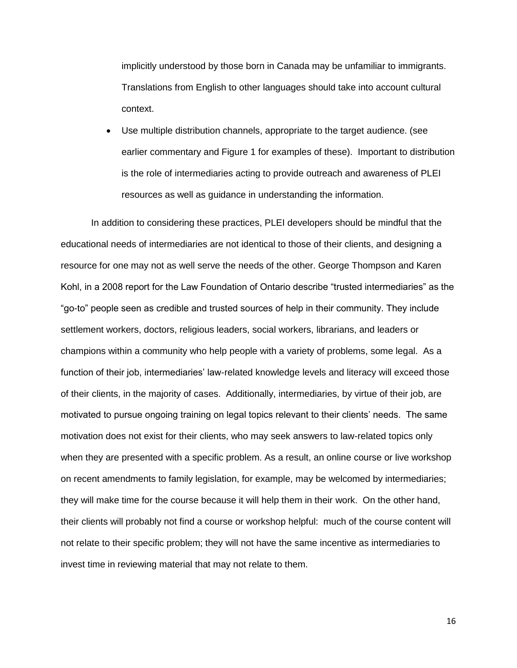implicitly understood by those born in Canada may be unfamiliar to immigrants. Translations from English to other languages should take into account cultural context.

 Use multiple distribution channels, appropriate to the target audience. (see earlier commentary and Figure 1 for examples of these). Important to distribution is the role of intermediaries acting to provide outreach and awareness of PLEI resources as well as guidance in understanding the information.

In addition to considering these practices, PLEI developers should be mindful that the educational needs of intermediaries are not identical to those of their clients, and designing a resource for one may not as well serve the needs of the other. George Thompson and Karen Kohl, in a 2008 report for the Law Foundation of Ontario describe "trusted intermediaries" as the "go-to" people seen as credible and trusted sources of help in their community. They include settlement workers, doctors, religious leaders, social workers, librarians, and leaders or champions within a community who help people with a variety of problems, some legal. As a function of their job, intermediaries' law-related knowledge levels and literacy will exceed those of their clients, in the majority of cases. Additionally, intermediaries, by virtue of their job, are motivated to pursue ongoing training on legal topics relevant to their clients' needs. The same motivation does not exist for their clients, who may seek answers to law-related topics only when they are presented with a specific problem. As a result, an online course or live workshop on recent amendments to family legislation, for example, may be welcomed by intermediaries; they will make time for the course because it will help them in their work. On the other hand, their clients will probably not find a course or workshop helpful: much of the course content will not relate to their specific problem; they will not have the same incentive as intermediaries to invest time in reviewing material that may not relate to them.

16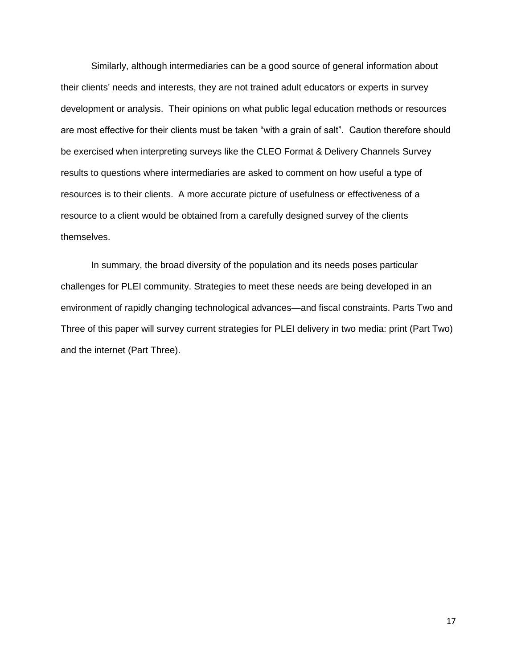Similarly, although intermediaries can be a good source of general information about their clients' needs and interests, they are not trained adult educators or experts in survey development or analysis. Their opinions on what public legal education methods or resources are most effective for their clients must be taken "with a grain of salt". Caution therefore should be exercised when interpreting surveys like the CLEO Format & Delivery Channels Survey results to questions where intermediaries are asked to comment on how useful a type of resources is to their clients. A more accurate picture of usefulness or effectiveness of a resource to a client would be obtained from a carefully designed survey of the clients themselves.

In summary, the broad diversity of the population and its needs poses particular challenges for PLEI community. Strategies to meet these needs are being developed in an environment of rapidly changing technological advances—and fiscal constraints. Parts Two and Three of this paper will survey current strategies for PLEI delivery in two media: print (Part Two) and the internet (Part Three).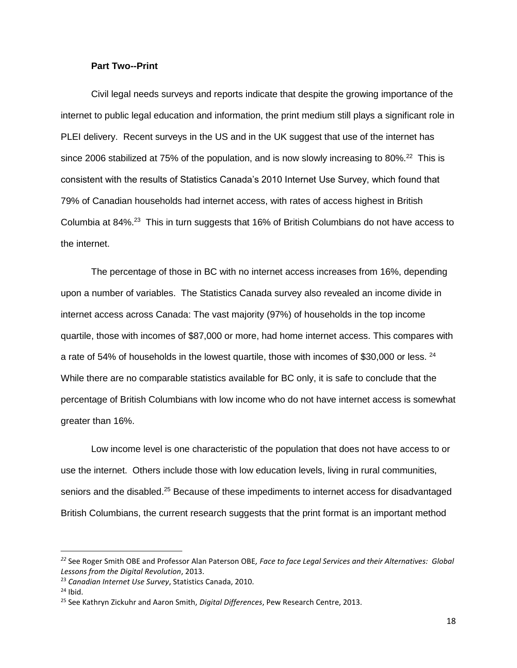## **Part Two--Print**

Civil legal needs surveys and reports indicate that despite the growing importance of the internet to public legal education and information, the print medium still plays a significant role in PLEI delivery. Recent surveys in the US and in the UK suggest that use of the internet has since 2006 stabilized at 75% of the population, and is now slowly increasing to 80%.<sup>22</sup> This is consistent with the results of Statistics Canada's 2010 Internet Use Survey, which found that 79% of Canadian households had internet access, with rates of access highest in British Columbia at 84%.<sup>23</sup> This in turn suggests that 16% of British Columbians do not have access to the internet.

The percentage of those in BC with no internet access increases from 16%, depending upon a number of variables. The Statistics Canada survey also revealed an income divide in internet access across Canada: The vast majority (97%) of households in the top income quartile, those with incomes of \$87,000 or more, had home internet access. This compares with a rate of 54% of households in the lowest quartile, those with incomes of \$30,000 or less. <sup>24</sup> While there are no comparable statistics available for BC only, it is safe to conclude that the percentage of British Columbians with low income who do not have internet access is somewhat greater than 16%.

Low income level is one characteristic of the population that does not have access to or use the internet. Others include those with low education levels, living in rural communities, seniors and the disabled.<sup>25</sup> Because of these impediments to internet access for disadvantaged British Columbians, the current research suggests that the print format is an important method

*<sup>22</sup>* See Roger Smith OBE and Professor Alan Paterson OBE*, Face to face Legal Services and their Alternatives: Global Lessons from the Digital Revolution*, 2013.

<sup>23</sup> *Canadian Internet Use Survey*, Statistics Canada, 2010.

 $24$  Ibid.

<sup>25</sup> See Kathryn Zickuhr and Aaron Smith, *Digital Differences*, Pew Research Centre, 2013.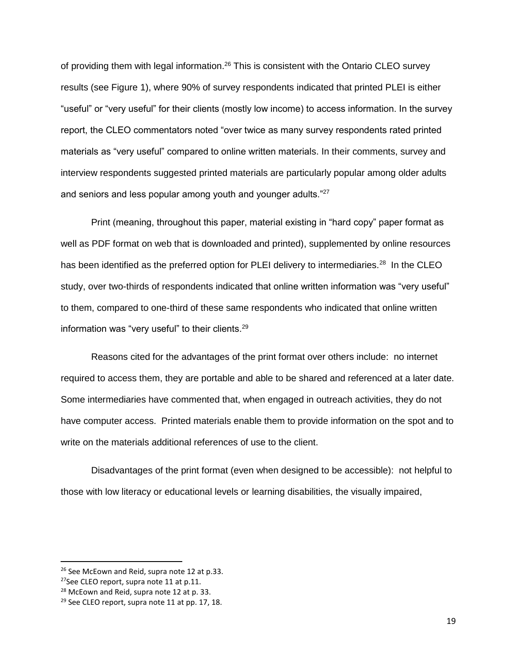of providing them with legal information.<sup>26</sup> This is consistent with the Ontario CLEO survey results (see Figure 1), where 90% of survey respondents indicated that printed PLEI is either "useful" or "very useful" for their clients (mostly low income) to access information. In the survey report, the CLEO commentators noted "over twice as many survey respondents rated printed materials as "very useful" compared to online written materials. In their comments, survey and interview respondents suggested printed materials are particularly popular among older adults and seniors and less popular among youth and younger adults." $27$ 

Print (meaning, throughout this paper, material existing in "hard copy" paper format as well as PDF format on web that is downloaded and printed), supplemented by online resources has been identified as the preferred option for PLEI delivery to intermediaries.<sup>28</sup> In the CLEO study, over two-thirds of respondents indicated that online written information was "very useful" to them, compared to one-third of these same respondents who indicated that online written information was "very useful" to their clients.<sup>29</sup>

Reasons cited for the advantages of the print format over others include: no internet required to access them, they are portable and able to be shared and referenced at a later date. Some intermediaries have commented that, when engaged in outreach activities, they do not have computer access. Printed materials enable them to provide information on the spot and to write on the materials additional references of use to the client.

Disadvantages of the print format (even when designed to be accessible): not helpful to those with low literacy or educational levels or learning disabilities, the visually impaired,

 $\overline{a}$ 

<sup>&</sup>lt;sup>26</sup> See McEown and Reid, supra note 12 at p.33.

<sup>&</sup>lt;sup>27</sup>See CLEO report, supra note 11 at p.11.

<sup>&</sup>lt;sup>28</sup> McEown and Reid, supra note 12 at p. 33.

 $29$  See CLEO report, supra note 11 at pp. 17, 18.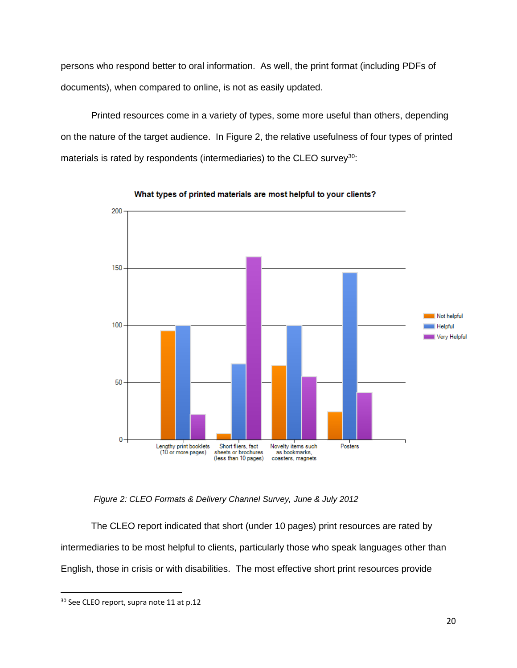persons who respond better to oral information. As well, the print format (including PDFs of documents), when compared to online, is not as easily updated.

Printed resources come in a variety of types, some more useful than others, depending on the nature of the target audience. In Figure 2, the relative usefulness of four types of printed materials is rated by respondents (intermediaries) to the CLEO survey<sup>30</sup>:



What types of printed materials are most helpful to your clients?

*Figure 2: CLEO Formats & Delivery Channel Survey, June & July 2012*

The CLEO report indicated that short (under 10 pages) print resources are rated by intermediaries to be most helpful to clients, particularly those who speak languages other than English, those in crisis or with disabilities. The most effective short print resources provide

<sup>&</sup>lt;sup>30</sup> See CLEO report, supra note 11 at p.12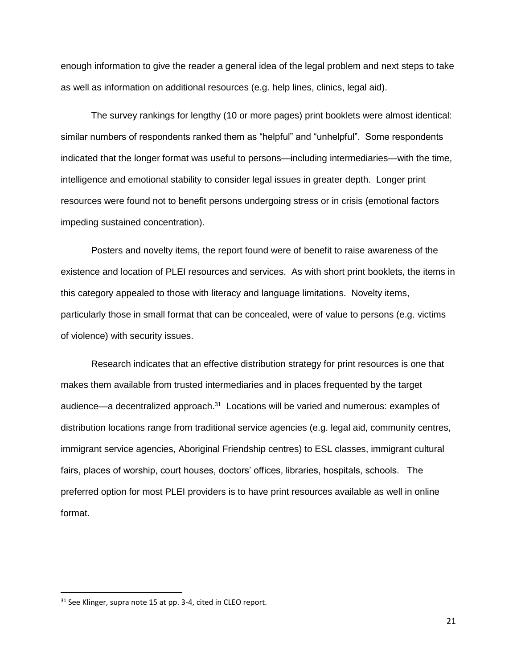enough information to give the reader a general idea of the legal problem and next steps to take as well as information on additional resources (e.g. help lines, clinics, legal aid).

The survey rankings for lengthy (10 or more pages) print booklets were almost identical: similar numbers of respondents ranked them as "helpful" and "unhelpful". Some respondents indicated that the longer format was useful to persons—including intermediaries—with the time, intelligence and emotional stability to consider legal issues in greater depth. Longer print resources were found not to benefit persons undergoing stress or in crisis (emotional factors impeding sustained concentration).

Posters and novelty items, the report found were of benefit to raise awareness of the existence and location of PLEI resources and services. As with short print booklets, the items in this category appealed to those with literacy and language limitations. Novelty items, particularly those in small format that can be concealed, were of value to persons (e.g. victims of violence) with security issues.

Research indicates that an effective distribution strategy for print resources is one that makes them available from trusted intermediaries and in places frequented by the target audience—a decentralized approach.<sup>31</sup> Locations will be varied and numerous: examples of distribution locations range from traditional service agencies (e.g. legal aid, community centres, immigrant service agencies, Aboriginal Friendship centres) to ESL classes, immigrant cultural fairs, places of worship, court houses, doctors' offices, libraries, hospitals, schools. The preferred option for most PLEI providers is to have print resources available as well in online format.

<sup>&</sup>lt;sup>31</sup> See Klinger, supra note 15 at pp. 3-4, cited in CLEO report.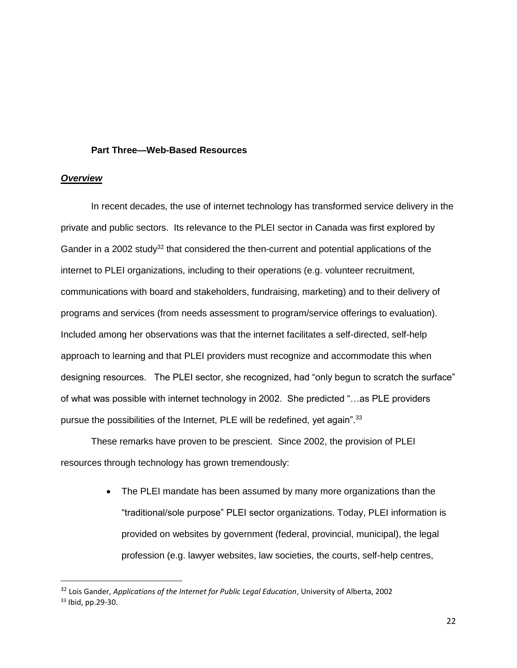#### **Part Three—Web-Based Resources**

#### *Overview*

 $\overline{\phantom{a}}$ 

In recent decades, the use of internet technology has transformed service delivery in the private and public sectors. Its relevance to the PLEI sector in Canada was first explored by Gander in a 2002 study<sup>32</sup> that considered the then-current and potential applications of the internet to PLEI organizations, including to their operations (e.g. volunteer recruitment, communications with board and stakeholders, fundraising, marketing) and to their delivery of programs and services (from needs assessment to program/service offerings to evaluation). Included among her observations was that the internet facilitates a self-directed, self-help approach to learning and that PLEI providers must recognize and accommodate this when designing resources. The PLEI sector, she recognized, had "only begun to scratch the surface" of what was possible with internet technology in 2002. She predicted "…as PLE providers pursue the possibilities of the Internet, PLE will be redefined, yet again".<sup>33</sup>

These remarks have proven to be prescient. Since 2002, the provision of PLEI resources through technology has grown tremendously:

> • The PLEI mandate has been assumed by many more organizations than the "traditional/sole purpose" PLEI sector organizations. Today, PLEI information is provided on websites by government (federal, provincial, municipal), the legal profession (e.g. lawyer websites, law societies, the courts, self-help centres,

<sup>32</sup> Lois Gander, *Applications of the Internet for Public Legal Education*, University of Alberta, 2002 <sup>33</sup> Ibid, pp.29-30.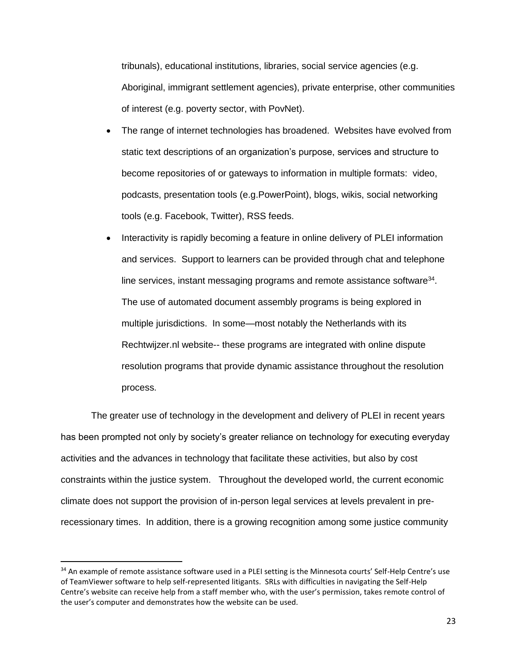tribunals), educational institutions, libraries, social service agencies (e.g. Aboriginal, immigrant settlement agencies), private enterprise, other communities of interest (e.g. poverty sector, with PovNet).

- The range of internet technologies has broadened. Websites have evolved from static text descriptions of an organization's purpose, services and structure to become repositories of or gateways to information in multiple formats: video, podcasts, presentation tools (e.g.PowerPoint), blogs, wikis, social networking tools (e.g. Facebook, Twitter), RSS feeds.
- Interactivity is rapidly becoming a feature in online delivery of PLEI information and services. Support to learners can be provided through chat and telephone line services, instant messaging programs and remote assistance software $34$ . The use of automated document assembly programs is being explored in multiple jurisdictions. In some—most notably the Netherlands with its Rechtwijzer.nl website-- these programs are integrated with online dispute resolution programs that provide dynamic assistance throughout the resolution process.

The greater use of technology in the development and delivery of PLEI in recent years has been prompted not only by society's greater reliance on technology for executing everyday activities and the advances in technology that facilitate these activities, but also by cost constraints within the justice system. Throughout the developed world, the current economic climate does not support the provision of in-person legal services at levels prevalent in prerecessionary times. In addition, there is a growing recognition among some justice community

 $\overline{a}$ 

<sup>&</sup>lt;sup>34</sup> An example of remote assistance software used in a PLEI setting is the Minnesota courts' Self-Help Centre's use of TeamViewer software to help self-represented litigants. SRLs with difficulties in navigating the Self-Help Centre's website can receive help from a staff member who, with the user's permission, takes remote control of the user's computer and demonstrates how the website can be used.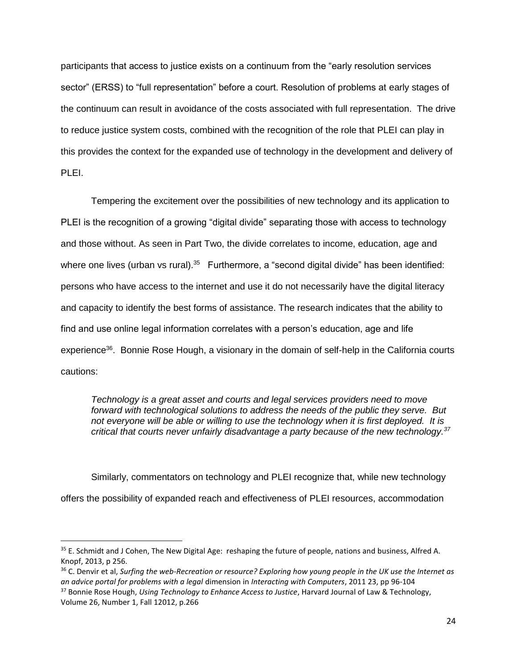participants that access to justice exists on a continuum from the "early resolution services sector" (ERSS) to "full representation" before a court. Resolution of problems at early stages of the continuum can result in avoidance of the costs associated with full representation. The drive to reduce justice system costs, combined with the recognition of the role that PLEI can play in this provides the context for the expanded use of technology in the development and delivery of PLEI.

Tempering the excitement over the possibilities of new technology and its application to PLEI is the recognition of a growing "digital divide" separating those with access to technology and those without. As seen in Part Two, the divide correlates to income, education, age and where one lives (urban vs rural). $35$  Furthermore, a "second digital divide" has been identified: persons who have access to the internet and use it do not necessarily have the digital literacy and capacity to identify the best forms of assistance. The research indicates that the ability to find and use online legal information correlates with a person's education, age and life experience<sup>36</sup>. Bonnie Rose Hough, a visionary in the domain of self-help in the California courts cautions:

*Technology is a great asset and courts and legal services providers need to move forward with technological solutions to address the needs of the public they serve. But not everyone will be able or willing to use the technology when it is first deployed. It is critical that courts never unfairly disadvantage a party because of the new technology.<sup>37</sup>*

Similarly, commentators on technology and PLEI recognize that, while new technology offers the possibility of expanded reach and effectiveness of PLEI resources, accommodation

 $\overline{a}$ 

<sup>36</sup> C. Denvir et al, *Surfing the web-Recreation or resource? Exploring how young people in the UK use the Internet as an advice portal for problems with a legal* dimension in *Interacting with Computers*, 2011 23, pp 96-104 <sup>37</sup> Bonnie Rose Hough, *Using Technology to Enhance Access to Justice*, Harvard Journal of Law & Technology, Volume 26, Number 1, Fall 12012, p.266

<sup>&</sup>lt;sup>35</sup> E. Schmidt and J Cohen, The New Digital Age: reshaping the future of people, nations and business, Alfred A. Knopf, 2013, p 256.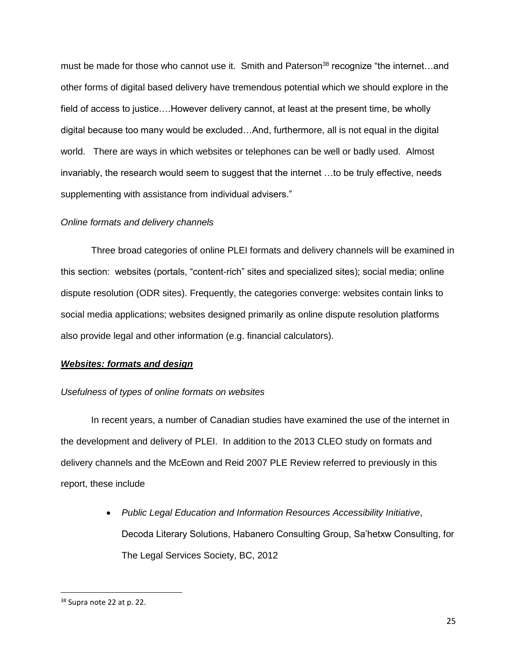must be made for those who cannot use it. Smith and Paterson<sup>38</sup> recognize "the internet...and other forms of digital based delivery have tremendous potential which we should explore in the field of access to justice….However delivery cannot, at least at the present time, be wholly digital because too many would be excluded…And, furthermore, all is not equal in the digital world. There are ways in which websites or telephones can be well or badly used. Almost invariably, the research would seem to suggest that the internet …to be truly effective, needs supplementing with assistance from individual advisers."

# *Online formats and delivery channels*

Three broad categories of online PLEI formats and delivery channels will be examined in this section: websites (portals, "content-rich" sites and specialized sites); social media; online dispute resolution (ODR sites). Frequently, the categories converge: websites contain links to social media applications; websites designed primarily as online dispute resolution platforms also provide legal and other information (e.g. financial calculators).

# *Websites: formats and design*

# *Usefulness of types of online formats on websites*

In recent years, a number of Canadian studies have examined the use of the internet in the development and delivery of PLEI. In addition to the 2013 CLEO study on formats and delivery channels and the McEown and Reid 2007 PLE Review referred to previously in this report, these include

> *Public Legal Education and Information Resources Accessibility Initiative*, Decoda Literary Solutions, Habanero Consulting Group, Sa'hetxw Consulting, for The Legal Services Society, BC, 2012

<sup>&</sup>lt;sup>38</sup> Supra note 22 at p. 22.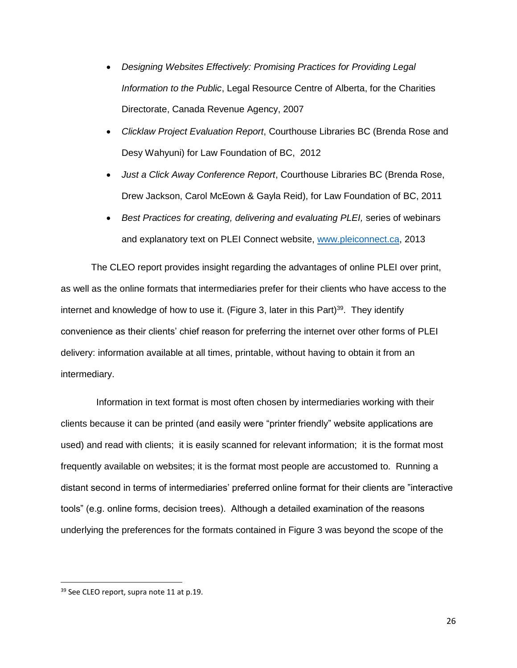- *Designing Websites Effectively: Promising Practices for Providing Legal Information to the Public*, Legal Resource Centre of Alberta, for the Charities Directorate, Canada Revenue Agency, 2007
- *Clicklaw Project Evaluation Report*, Courthouse Libraries BC (Brenda Rose and Desy Wahyuni) for Law Foundation of BC, 2012
- *Just a Click Away Conference Report*, Courthouse Libraries BC (Brenda Rose, Drew Jackson, Carol McEown & Gayla Reid), for Law Foundation of BC, 2011
- *Best Practices for creating, delivering and evaluating PLEI,* series of webinars and explanatory text on PLEI Connect website, [www.pleiconnect.ca,](http://www.pleiconnect.ca/) 2013

The CLEO report provides insight regarding the advantages of online PLEI over print, as well as the online formats that intermediaries prefer for their clients who have access to the internet and knowledge of how to use it. (Figure 3, later in this Part)<sup>39</sup>. They identify convenience as their clients' chief reason for preferring the internet over other forms of PLEI delivery: information available at all times, printable, without having to obtain it from an intermediary.

 Information in text format is most often chosen by intermediaries working with their clients because it can be printed (and easily were "printer friendly" website applications are used) and read with clients; it is easily scanned for relevant information; it is the format most frequently available on websites; it is the format most people are accustomed to. Running a distant second in terms of intermediaries' preferred online format for their clients are "interactive tools" (e.g. online forms, decision trees). Although a detailed examination of the reasons underlying the preferences for the formats contained in Figure 3 was beyond the scope of the

<sup>&</sup>lt;sup>39</sup> See CLEO report, supra note 11 at p.19.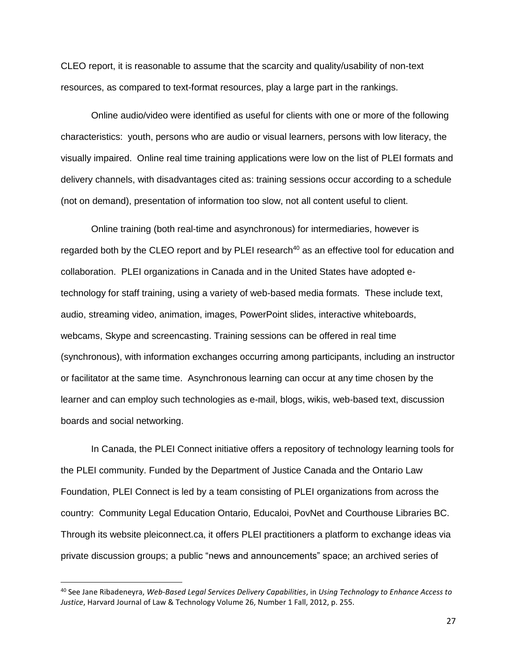CLEO report, it is reasonable to assume that the scarcity and quality/usability of non-text resources, as compared to text-format resources, play a large part in the rankings.

Online audio/video were identified as useful for clients with one or more of the following characteristics: youth, persons who are audio or visual learners, persons with low literacy, the visually impaired. Online real time training applications were low on the list of PLEI formats and delivery channels, with disadvantages cited as: training sessions occur according to a schedule (not on demand), presentation of information too slow, not all content useful to client.

Online training (both real-time and asynchronous) for intermediaries, however is regarded both by the CLEO report and by PLEI research<sup>40</sup> as an effective tool for education and collaboration. PLEI organizations in Canada and in the United States have adopted etechnology for staff training, using a variety of web-based media formats. These include text, audio, streaming video, animation, images, PowerPoint slides, interactive whiteboards, webcams, Skype and screencasting. Training sessions can be offered in real time (synchronous), with information exchanges occurring among participants, including an instructor or facilitator at the same time. Asynchronous learning can occur at any time chosen by the learner and can employ such technologies as e-mail, blogs, wikis, web-based text, discussion boards and social networking.

In Canada, the PLEI Connect initiative offers a repository of technology learning tools for the PLEI community. Funded by the Department of Justice Canada and the Ontario Law Foundation, PLEI Connect is led by a team consisting of PLEI organizations from across the country: Community Legal Education Ontario, Educaloi, PovNet and Courthouse Libraries BC. Through its website pleiconnect.ca, it offers PLEI practitioners a platform to exchange ideas via private discussion groups; a public "news and announcements" space; an archived series of

<sup>40</sup> See Jane Ribadeneyra, *Web-Based Legal Services Delivery Capabilities*, in *Using Technology to Enhance Access to Justice*, Harvard Journal of Law & Technology Volume 26, Number 1 Fall, 2012, p. 255.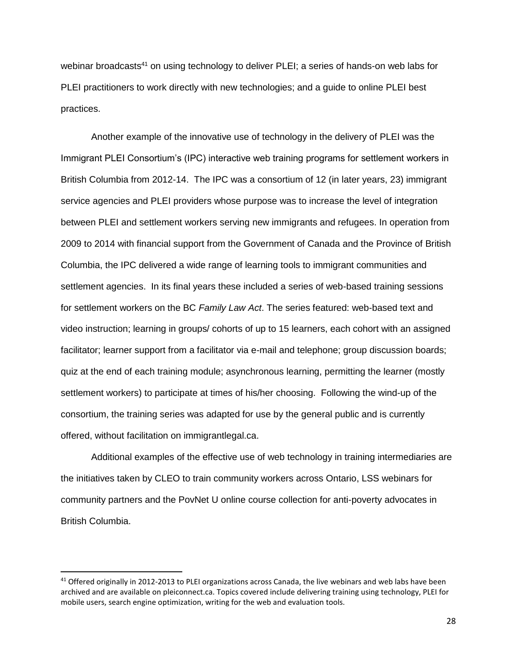webinar broadcasts<sup>41</sup> on using technology to deliver PLEI; a series of hands-on web labs for PLEI practitioners to work directly with new technologies; and a guide to online PLEI best practices.

Another example of the innovative use of technology in the delivery of PLEI was the Immigrant PLEI Consortium's (IPC) interactive web training programs for settlement workers in British Columbia from 2012-14. The IPC was a consortium of 12 (in later years, 23) immigrant service agencies and PLEI providers whose purpose was to increase the level of integration between PLEI and settlement workers serving new immigrants and refugees. In operation from 2009 to 2014 with financial support from the Government of Canada and the Province of British Columbia, the IPC delivered a wide range of learning tools to immigrant communities and settlement agencies. In its final years these included a series of web-based training sessions for settlement workers on the BC *Family Law Act*. The series featured: web-based text and video instruction; learning in groups/ cohorts of up to 15 learners, each cohort with an assigned facilitator; learner support from a facilitator via e-mail and telephone; group discussion boards; quiz at the end of each training module; asynchronous learning, permitting the learner (mostly settlement workers) to participate at times of his/her choosing. Following the wind-up of the consortium, the training series was adapted for use by the general public and is currently offered, without facilitation on immigrantlegal.ca.

Additional examples of the effective use of web technology in training intermediaries are the initiatives taken by CLEO to train community workers across Ontario, LSS webinars for community partners and the PovNet U online course collection for anti-poverty advocates in British Columbia.

<sup>&</sup>lt;sup>41</sup> Offered originally in 2012-2013 to PLEI organizations across Canada, the live webinars and web labs have been archived and are available on pleiconnect.ca. Topics covered include delivering training using technology, PLEI for mobile users, search engine optimization, writing for the web and evaluation tools.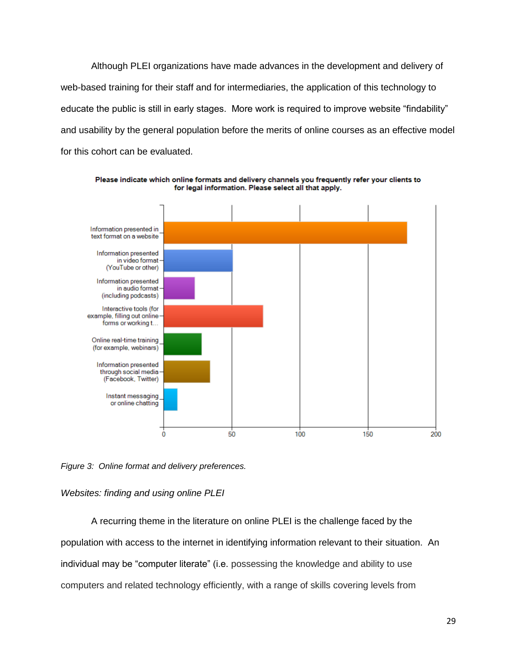Although PLEI organizations have made advances in the development and delivery of web-based training for their staff and for intermediaries, the application of this technology to educate the public is still in early stages. More work is required to improve website "findability" and usability by the general population before the merits of online courses as an effective model for this cohort can be evaluated.



Please indicate which online formats and delivery channels you frequently refer your clients to for legal information. Please select all that apply.

*Figure 3: Online format and delivery preferences.*

### *Websites: finding and using online PLEI*

A recurring theme in the literature on online PLEI is the challenge faced by the population with access to the internet in identifying information relevant to their situation. An individual may be "computer literate" (i.e. possessing the knowledge and ability to use computers and related technology efficiently, with a range of skills covering levels from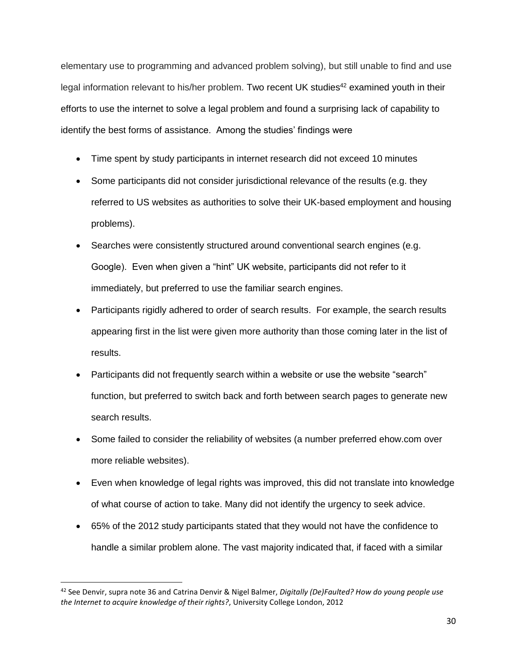elementary use to programming and advanced problem solving), but still unable to find and use legal information relevant to his/her problem. Two recent UK studies<sup>42</sup> examined youth in their efforts to use the internet to solve a legal problem and found a surprising lack of capability to identify the best forms of assistance. Among the studies' findings were

- Time spent by study participants in internet research did not exceed 10 minutes
- Some participants did not consider jurisdictional relevance of the results (e.g. they referred to US websites as authorities to solve their UK-based employment and housing problems).
- Searches were consistently structured around conventional search engines (e.g. Google). Even when given a "hint" UK website, participants did not refer to it immediately, but preferred to use the familiar search engines.
- Participants rigidly adhered to order of search results. For example, the search results appearing first in the list were given more authority than those coming later in the list of results.
- Participants did not frequently search within a website or use the website "search" function, but preferred to switch back and forth between search pages to generate new search results.
- Some failed to consider the reliability of websites (a number preferred ehow.com over more reliable websites).
- Even when knowledge of legal rights was improved, this did not translate into knowledge of what course of action to take. Many did not identify the urgency to seek advice.
- 65% of the 2012 study participants stated that they would not have the confidence to handle a similar problem alone. The vast majority indicated that, if faced with a similar

<sup>42</sup> See Denvir, supra note 36 and Catrina Denvir & Nigel Balmer, *Digitally (De)Faulted? How do young people use the Internet to acquire knowledge of their rights?*, University College London, 2012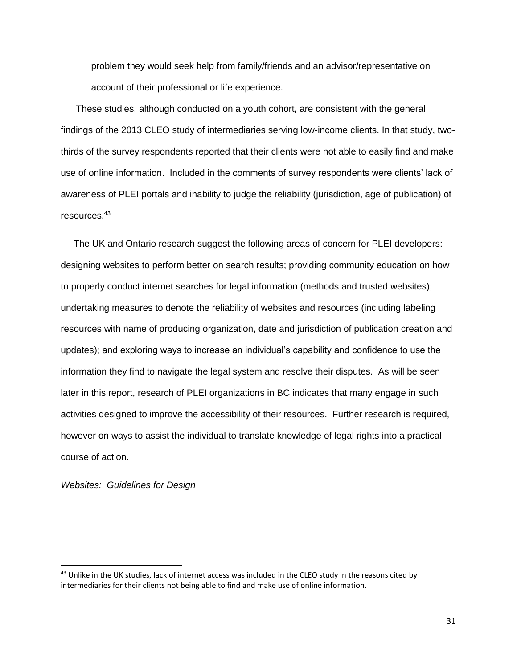problem they would seek help from family/friends and an advisor/representative on account of their professional or life experience.

These studies, although conducted on a youth cohort, are consistent with the general findings of the 2013 CLEO study of intermediaries serving low-income clients. In that study, twothirds of the survey respondents reported that their clients were not able to easily find and make use of online information. Included in the comments of survey respondents were clients' lack of awareness of PLEI portals and inability to judge the reliability (jurisdiction, age of publication) of resources.<sup>43</sup>

The UK and Ontario research suggest the following areas of concern for PLEI developers: designing websites to perform better on search results; providing community education on how to properly conduct internet searches for legal information (methods and trusted websites); undertaking measures to denote the reliability of websites and resources (including labeling resources with name of producing organization, date and jurisdiction of publication creation and updates); and exploring ways to increase an individual's capability and confidence to use the information they find to navigate the legal system and resolve their disputes. As will be seen later in this report, research of PLEI organizations in BC indicates that many engage in such activities designed to improve the accessibility of their resources. Further research is required, however on ways to assist the individual to translate knowledge of legal rights into a practical course of action.

*Websites: Guidelines for Design* 

<sup>&</sup>lt;sup>43</sup> Unlike in the UK studies, lack of internet access was included in the CLEO study in the reasons cited by intermediaries for their clients not being able to find and make use of online information.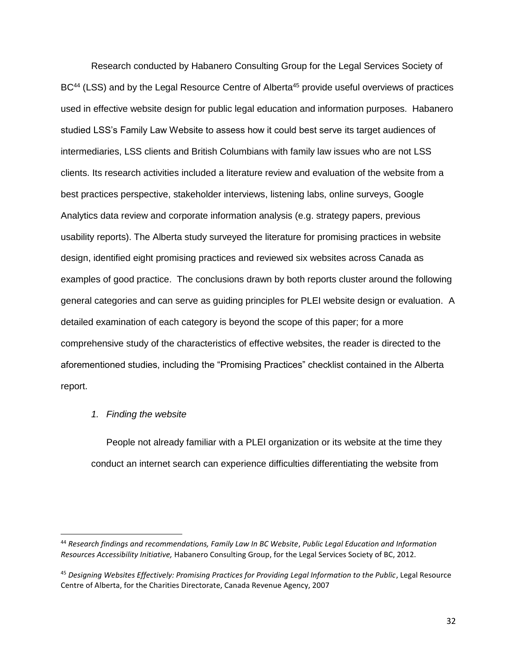Research conducted by Habanero Consulting Group for the Legal Services Society of BC<sup>44</sup> (LSS) and by the Legal Resource Centre of Alberta<sup>45</sup> provide useful overviews of practices used in effective website design for public legal education and information purposes. Habanero studied LSS's Family Law Website to assess how it could best serve its target audiences of intermediaries, LSS clients and British Columbians with family law issues who are not LSS clients. Its research activities included a literature review and evaluation of the website from a best practices perspective, stakeholder interviews, listening labs, online surveys, Google Analytics data review and corporate information analysis (e.g. strategy papers, previous usability reports). The Alberta study surveyed the literature for promising practices in website design, identified eight promising practices and reviewed six websites across Canada as examples of good practice. The conclusions drawn by both reports cluster around the following general categories and can serve as guiding principles for PLEI website design or evaluation. A detailed examination of each category is beyond the scope of this paper; for a more comprehensive study of the characteristics of effective websites, the reader is directed to the aforementioned studies, including the "Promising Practices" checklist contained in the Alberta report.

#### *1. Finding the website*

 $\overline{\phantom{a}}$ 

People not already familiar with a PLEI organization or its website at the time they conduct an internet search can experience difficulties differentiating the website from

<sup>44</sup> *Research findings and recommendations, Family Law In BC Website*, *Public Legal Education and Information Resources Accessibility Initiative,* Habanero Consulting Group, for the Legal Services Society of BC, 2012.

<sup>45</sup> *Designing Websites Effectively: Promising Practices for Providing Legal Information to the Public*, Legal Resource Centre of Alberta, for the Charities Directorate, Canada Revenue Agency, 2007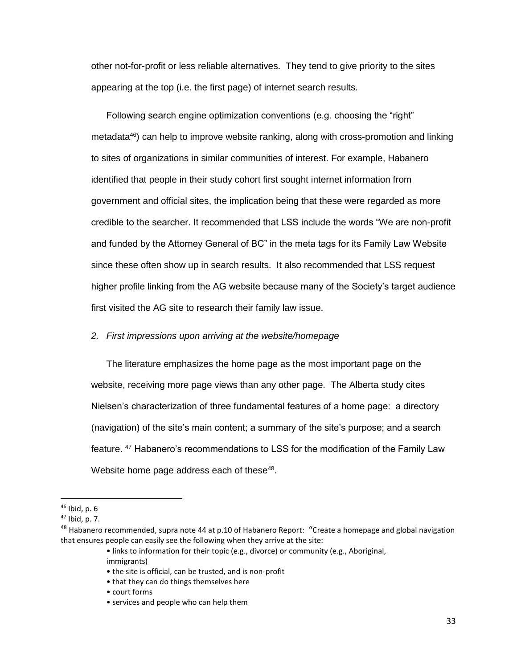other not-for-profit or less reliable alternatives. They tend to give priority to the sites appearing at the top (i.e. the first page) of internet search results.

Following search engine optimization conventions (e.g. choosing the "right" metadata $46$ ) can help to improve website ranking, along with cross-promotion and linking to sites of organizations in similar communities of interest. For example, Habanero identified that people in their study cohort first sought internet information from government and official sites, the implication being that these were regarded as more credible to the searcher. It recommended that LSS include the words "We are non-profit and funded by the Attorney General of BC" in the meta tags for its Family Law Website since these often show up in search results. It also recommended that LSS request higher profile linking from the AG website because many of the Society's target audience first visited the AG site to research their family law issue.

# *2. First impressions upon arriving at the website/homepage*

The literature emphasizes the home page as the most important page on the website, receiving more page views than any other page. The Alberta study cites Nielsen's characterization of three fundamental features of a home page: a directory (navigation) of the site's main content; a summary of the site's purpose; and a search feature. <sup>47</sup> Habanero's recommendations to LSS for the modification of the Family Law Website home page address each of these<sup>48</sup>.

 $\overline{\phantom{a}}$ 

• links to information for their topic (e.g., divorce) or community (e.g., Aboriginal, immigrants)

 $46$  Ibid, p. 6

 $47$  Ibid, p. 7.

<sup>&</sup>lt;sup>48</sup> Habanero recommended, supra note 44 at p.10 of Habanero Report: "Create a homepage and global navigation that ensures people can easily see the following when they arrive at the site:

<sup>•</sup> the site is official, can be trusted, and is non-profit

<sup>•</sup> that they can do things themselves here

<sup>•</sup> court forms

<sup>•</sup> services and people who can help them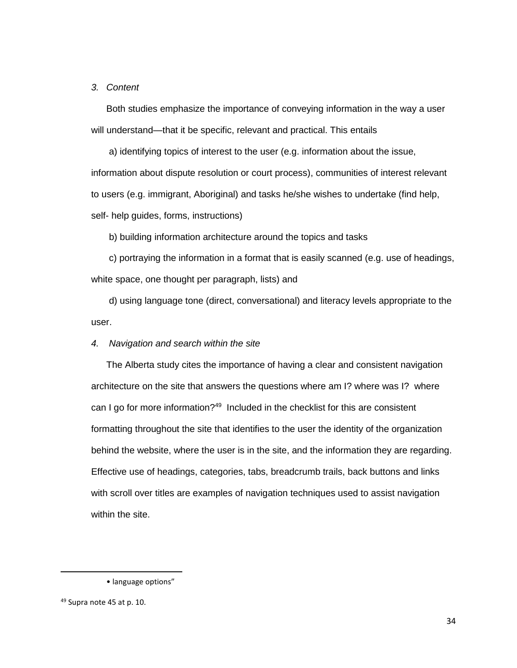#### *3. Content*

Both studies emphasize the importance of conveying information in the way a user will understand—that it be specific, relevant and practical. This entails

a) identifying topics of interest to the user (e.g. information about the issue, information about dispute resolution or court process), communities of interest relevant to users (e.g. immigrant, Aboriginal) and tasks he/she wishes to undertake (find help, self- help guides, forms, instructions)

b) building information architecture around the topics and tasks

c) portraying the information in a format that is easily scanned (e.g. use of headings, white space, one thought per paragraph, lists) and

d) using language tone (direct, conversational) and literacy levels appropriate to the user.

# *4. Navigation and search within the site*

The Alberta study cites the importance of having a clear and consistent navigation architecture on the site that answers the questions where am I? where was I? where can I go for more information?<sup>49</sup> Included in the checklist for this are consistent formatting throughout the site that identifies to the user the identity of the organization behind the website, where the user is in the site, and the information they are regarding. Effective use of headings, categories, tabs, breadcrumb trails, back buttons and links with scroll over titles are examples of navigation techniques used to assist navigation within the site.

<sup>•</sup> language options"

<sup>49</sup> Supra note 45 at p. 10.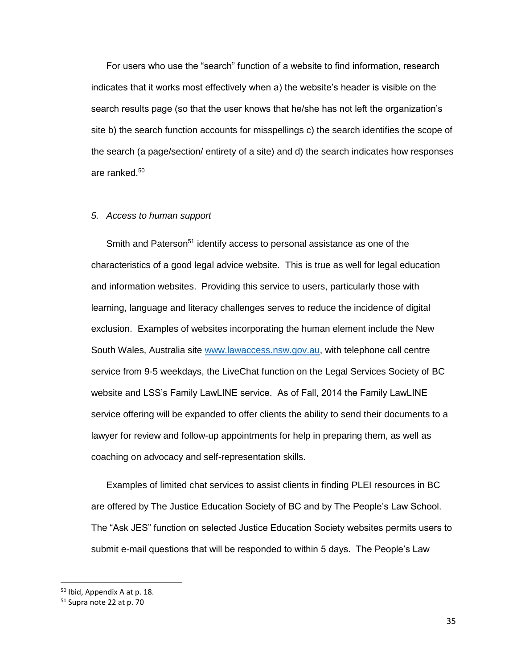For users who use the "search" function of a website to find information, research indicates that it works most effectively when a) the website's header is visible on the search results page (so that the user knows that he/she has not left the organization's site b) the search function accounts for misspellings c) the search identifies the scope of the search (a page/section/ entirety of a site) and d) the search indicates how responses are ranked.<sup>50</sup>

#### *5. Access to human support*

Smith and Paterson<sup>51</sup> identify access to personal assistance as one of the characteristics of a good legal advice website. This is true as well for legal education and information websites. Providing this service to users, particularly those with learning, language and literacy challenges serves to reduce the incidence of digital exclusion. Examples of websites incorporating the human element include the New South Wales, Australia site [www.lawaccess.nsw.gov.au,](http://www.lawaccess.nsw.gov.au/) with telephone call centre service from 9-5 weekdays, the LiveChat function on the Legal Services Society of BC website and LSS's Family LawLINE service. As of Fall, 2014 the Family LawLINE service offering will be expanded to offer clients the ability to send their documents to a lawyer for review and follow-up appointments for help in preparing them, as well as coaching on advocacy and self-representation skills.

Examples of limited chat services to assist clients in finding PLEI resources in BC are offered by The Justice Education Society of BC and by The People's Law School. The "Ask JES" function on selected Justice Education Society websites permits users to submit e-mail questions that will be responded to within 5 days. The People's Law

 $50$  Ibid, Appendix A at p. 18.

<sup>51</sup> Supra note 22 at p. 70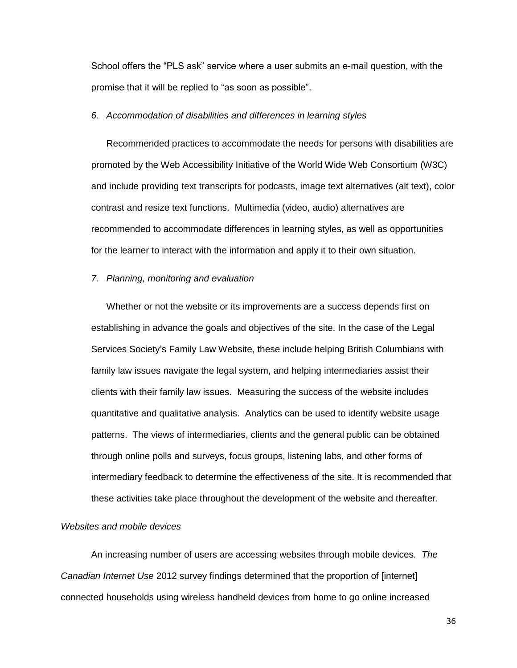School offers the "PLS ask" service where a user submits an e-mail question, with the promise that it will be replied to "as soon as possible".

# *6. Accommodation of disabilities and differences in learning styles*

Recommended practices to accommodate the needs for persons with disabilities are promoted by the Web Accessibility Initiative of the World Wide Web Consortium (W3C) and include providing text transcripts for podcasts, image text alternatives (alt text), color contrast and resize text functions. Multimedia (video, audio) alternatives are recommended to accommodate differences in learning styles, as well as opportunities for the learner to interact with the information and apply it to their own situation.

#### *7. Planning, monitoring and evaluation*

Whether or not the website or its improvements are a success depends first on establishing in advance the goals and objectives of the site. In the case of the Legal Services Society's Family Law Website, these include helping British Columbians with family law issues navigate the legal system, and helping intermediaries assist their clients with their family law issues. Measuring the success of the website includes quantitative and qualitative analysis. Analytics can be used to identify website usage patterns. The views of intermediaries, clients and the general public can be obtained through online polls and surveys, focus groups, listening labs, and other forms of intermediary feedback to determine the effectiveness of the site. It is recommended that these activities take place throughout the development of the website and thereafter.

# *Websites and mobile devices*

An increasing number of users are accessing websites through mobile devices*. The Canadian Internet Use* 2012 survey findings determined that the proportion of [internet] connected households using wireless handheld devices from home to go online increased

36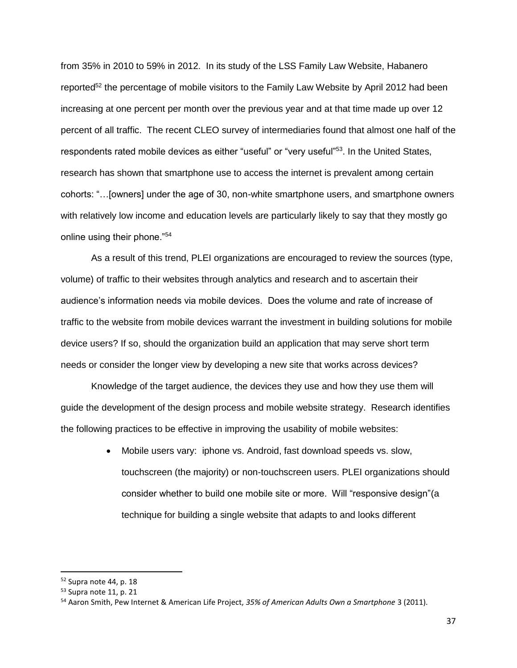from 35% in 2010 to 59% in 2012. In its study of the LSS Family Law Website, Habanero reported<sup>52</sup> the percentage of mobile visitors to the Family Law Website by April 2012 had been increasing at one percent per month over the previous year and at that time made up over 12 percent of all traffic. The recent CLEO survey of intermediaries found that almost one half of the respondents rated mobile devices as either "useful" or "very useful"<sup>53</sup>. In the United States, research has shown that smartphone use to access the internet is prevalent among certain cohorts: "…[owners] under the age of 30, non-white smartphone users, and smartphone owners with relatively low income and education levels are particularly likely to say that they mostly go online using their phone."<sup>54</sup>

As a result of this trend, PLEI organizations are encouraged to review the sources (type, volume) of traffic to their websites through analytics and research and to ascertain their audience's information needs via mobile devices. Does the volume and rate of increase of traffic to the website from mobile devices warrant the investment in building solutions for mobile device users? If so, should the organization build an application that may serve short term needs or consider the longer view by developing a new site that works across devices?

Knowledge of the target audience, the devices they use and how they use them will guide the development of the design process and mobile website strategy. Research identifies the following practices to be effective in improving the usability of mobile websites:

> Mobile users vary: iphone vs. Android, fast download speeds vs. slow, touchscreen (the majority) or non-touchscreen users. PLEI organizations should consider whether to build one mobile site or more. Will "responsive design"(a technique for building a single website that adapts to and looks different

<sup>52</sup> Supra note 44, p. 18

<sup>53</sup> Supra note 11, p. 21

<sup>54</sup> Aaron Smith, Pew Internet & American Life Project, *35% of American Adults Own a Smartphone* 3 (2011).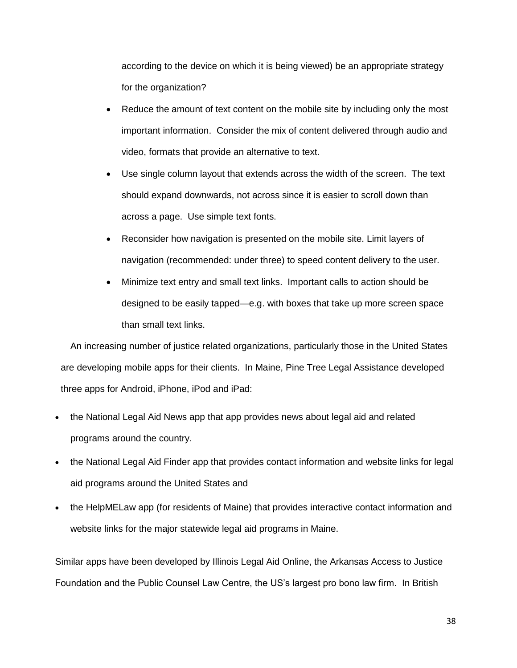according to the device on which it is being viewed) be an appropriate strategy for the organization?

- Reduce the amount of text content on the mobile site by including only the most important information. Consider the mix of content delivered through audio and video, formats that provide an alternative to text.
- Use single column layout that extends across the width of the screen. The text should expand downwards, not across since it is easier to scroll down than across a page. Use simple text fonts.
- Reconsider how navigation is presented on the mobile site. Limit layers of navigation (recommended: under three) to speed content delivery to the user.
- Minimize text entry and small text links. Important calls to action should be designed to be easily tapped—e.g. with boxes that take up more screen space than small text links.

An increasing number of justice related organizations, particularly those in the United States are developing mobile apps for their clients. In Maine, Pine Tree Legal Assistance developed three apps for Android, iPhone, iPod and iPad:

- the National Legal Aid News app that app provides news about legal aid and related programs around the country.
- the National Legal Aid Finder app that provides contact information and website links for legal aid programs around the United States and
- the HelpMELaw app (for residents of Maine) that provides interactive contact information and website links for the major statewide legal aid programs in Maine.

Similar apps have been developed by Illinois Legal Aid Online, the Arkansas Access to Justice Foundation and the Public Counsel Law Centre, the US's largest pro bono law firm. In British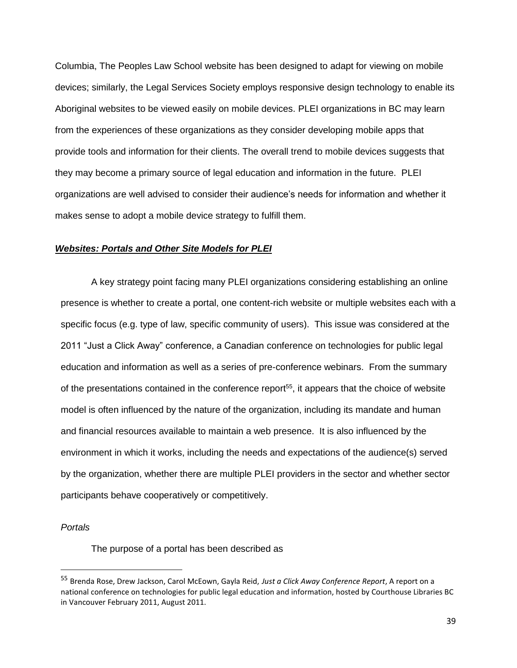Columbia, The Peoples Law School website has been designed to adapt for viewing on mobile devices; similarly, the Legal Services Society employs responsive design technology to enable its Aboriginal websites to be viewed easily on mobile devices. PLEI organizations in BC may learn from the experiences of these organizations as they consider developing mobile apps that provide tools and information for their clients. The overall trend to mobile devices suggests that they may become a primary source of legal education and information in the future. PLEI organizations are well advised to consider their audience's needs for information and whether it makes sense to adopt a mobile device strategy to fulfill them.

## *Websites: Portals and Other Site Models for PLEI*

A key strategy point facing many PLEI organizations considering establishing an online presence is whether to create a portal, one content-rich website or multiple websites each with a specific focus (e.g. type of law, specific community of users). This issue was considered at the 2011 "Just a Click Away" conference, a Canadian conference on technologies for public legal education and information as well as a series of pre-conference webinars. From the summary of the presentations contained in the conference report<sup>55</sup>, it appears that the choice of website model is often influenced by the nature of the organization, including its mandate and human and financial resources available to maintain a web presence. It is also influenced by the environment in which it works, including the needs and expectations of the audience(s) served by the organization, whether there are multiple PLEI providers in the sector and whether sector participants behave cooperatively or competitively.

#### *Portals*

l

The purpose of a portal has been described as

<sup>55</sup> Brenda Rose, Drew Jackson, Carol McEown, Gayla Reid, *Just a Click Away Conference Report*, A report on a national conference on technologies for public legal education and information, hosted by Courthouse Libraries BC in Vancouver February 2011, August 2011.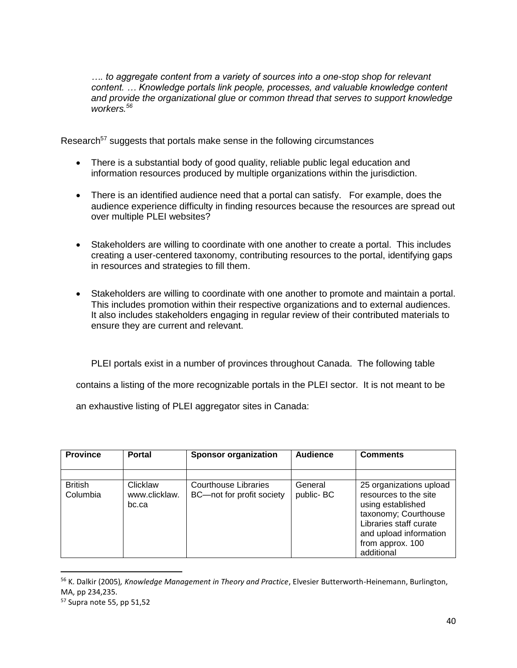*…. to aggregate content from a variety of sources into a one-stop shop for relevant content. … Knowledge portals link people, processes, and valuable knowledge content and provide the organizational glue or common thread that serves to support knowledge workers.<sup>56</sup>*

Research<sup>57</sup> suggests that portals make sense in the following circumstances

- There is a substantial body of good quality, reliable public legal education and information resources produced by multiple organizations within the jurisdiction.
- There is an identified audience need that a portal can satisfy. For example, does the audience experience difficulty in finding resources because the resources are spread out over multiple PLEI websites?
- Stakeholders are willing to coordinate with one another to create a portal. This includes creating a user-centered taxonomy, contributing resources to the portal, identifying gaps in resources and strategies to fill them.
- Stakeholders are willing to coordinate with one another to promote and maintain a portal. This includes promotion within their respective organizations and to external audiences. It also includes stakeholders engaging in regular review of their contributed materials to ensure they are current and relevant.

PLEI portals exist in a number of provinces throughout Canada. The following table

contains a listing of the more recognizable portals in the PLEI sector. It is not meant to be

an exhaustive listing of PLEI aggregator sites in Canada:

| <b>Province</b>            | <b>Portal</b>                      | <b>Sponsor organization</b>                       | <b>Audience</b>      | <b>Comments</b>                                                                                                                                                                     |
|----------------------------|------------------------------------|---------------------------------------------------|----------------------|-------------------------------------------------------------------------------------------------------------------------------------------------------------------------------------|
|                            |                                    |                                                   |                      |                                                                                                                                                                                     |
| <b>British</b><br>Columbia | Clicklaw<br>www.clicklaw.<br>bc.ca | Courthouse Libraries<br>BC-not for profit society | General<br>public-BC | 25 organizations upload<br>resources to the site<br>using established<br>taxonomy; Courthouse<br>Libraries staff curate<br>and upload information<br>from approx. 100<br>additional |

<sup>56</sup> K. Dalkir (2005)*, Knowledge Management in Theory and Practice*, Elvesier Butterworth-Heinemann, Burlington, MA, pp 234,235.

<sup>57</sup> Supra note 55, pp 51,52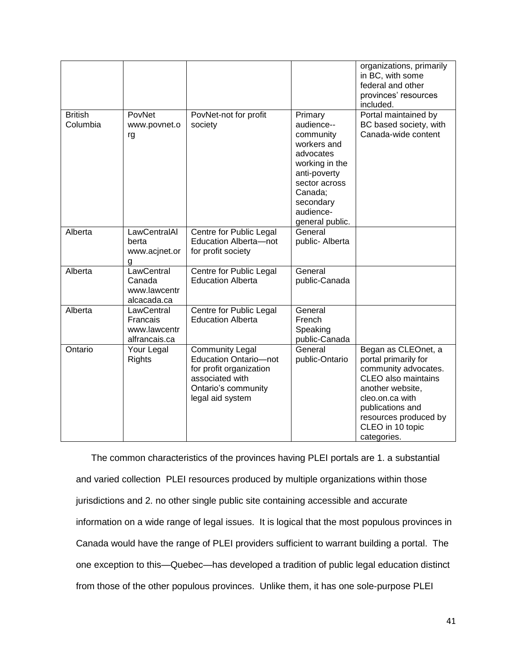|                            |                                                         |                                                                                                                                                 |                                                                                                                                                                           | organizations, primarily<br>in BC, with some<br>federal and other<br>provinces' resources<br>included.                                                                                                            |
|----------------------------|---------------------------------------------------------|-------------------------------------------------------------------------------------------------------------------------------------------------|---------------------------------------------------------------------------------------------------------------------------------------------------------------------------|-------------------------------------------------------------------------------------------------------------------------------------------------------------------------------------------------------------------|
| <b>British</b><br>Columbia | PovNet<br>www.povnet.o<br>rg                            | PovNet-not for profit<br>society                                                                                                                | Primary<br>audience--<br>community<br>workers and<br>advocates<br>working in the<br>anti-poverty<br>sector across<br>Canada;<br>secondary<br>audience-<br>general public. | Portal maintained by<br>BC based society, with<br>Canada-wide content                                                                                                                                             |
| Alberta                    | LawCentralAl<br>berta<br>www.acjnet.or<br>g             | Centre for Public Legal<br>Education Alberta-not<br>for profit society                                                                          | General<br>public- Alberta                                                                                                                                                |                                                                                                                                                                                                                   |
| Alberta                    | LawCentral<br>Canada<br>www.lawcentr<br>alcacada.ca     | Centre for Public Legal<br><b>Education Alberta</b>                                                                                             | General<br>public-Canada                                                                                                                                                  |                                                                                                                                                                                                                   |
| Alberta                    | LawCentral<br>Francais<br>www.lawcentr<br>alfrancais.ca | Centre for Public Legal<br><b>Education Alberta</b>                                                                                             | General<br>French<br>Speaking<br>public-Canada                                                                                                                            |                                                                                                                                                                                                                   |
| Ontario                    | Your Legal<br>Rights                                    | <b>Community Legal</b><br><b>Education Ontario-not</b><br>for profit organization<br>associated with<br>Ontario's community<br>legal aid system | General<br>public-Ontario                                                                                                                                                 | Began as CLEOnet, a<br>portal primarily for<br>community advocates.<br>CLEO also maintains<br>another website,<br>cleo.on.ca with<br>publications and<br>resources produced by<br>CLEO in 10 topic<br>categories. |

The common characteristics of the provinces having PLEI portals are 1. a substantial and varied collection PLEI resources produced by multiple organizations within those jurisdictions and 2. no other single public site containing accessible and accurate information on a wide range of legal issues. It is logical that the most populous provinces in Canada would have the range of PLEI providers sufficient to warrant building a portal. The one exception to this—Quebec—has developed a tradition of public legal education distinct from those of the other populous provinces. Unlike them, it has one sole-purpose PLEI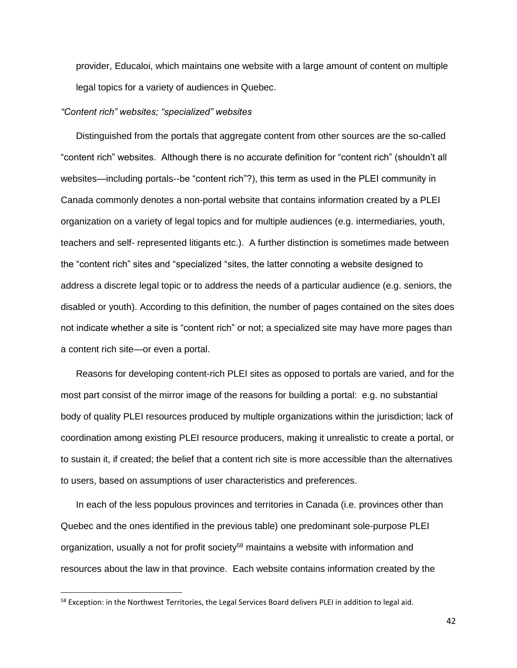provider, Educaloi, which maintains one website with a large amount of content on multiple legal topics for a variety of audiences in Quebec.

#### *"Content rich" websites; "specialized" websites*

Distinguished from the portals that aggregate content from other sources are the so-called "content rich" websites. Although there is no accurate definition for "content rich" (shouldn't all websites—including portals--be "content rich"?), this term as used in the PLEI community in Canada commonly denotes a non-portal website that contains information created by a PLEI organization on a variety of legal topics and for multiple audiences (e.g. intermediaries, youth, teachers and self- represented litigants etc.). A further distinction is sometimes made between the "content rich" sites and "specialized "sites, the latter connoting a website designed to address a discrete legal topic or to address the needs of a particular audience (e.g. seniors, the disabled or youth). According to this definition, the number of pages contained on the sites does not indicate whether a site is "content rich" or not; a specialized site may have more pages than a content rich site—or even a portal.

Reasons for developing content-rich PLEI sites as opposed to portals are varied, and for the most part consist of the mirror image of the reasons for building a portal: e.g. no substantial body of quality PLEI resources produced by multiple organizations within the jurisdiction; lack of coordination among existing PLEI resource producers, making it unrealistic to create a portal, or to sustain it, if created; the belief that a content rich site is more accessible than the alternatives to users, based on assumptions of user characteristics and preferences.

In each of the less populous provinces and territories in Canada (i.e. provinces other than Quebec and the ones identified in the previous table) one predominant sole-purpose PLEI organization, usually a not for profit society<sup>58</sup> maintains a website with information and resources about the law in that province. Each website contains information created by the

 $\overline{\phantom{a}}$ 

42

<sup>&</sup>lt;sup>58</sup> Exception: in the Northwest Territories, the Legal Services Board delivers PLEI in addition to legal aid.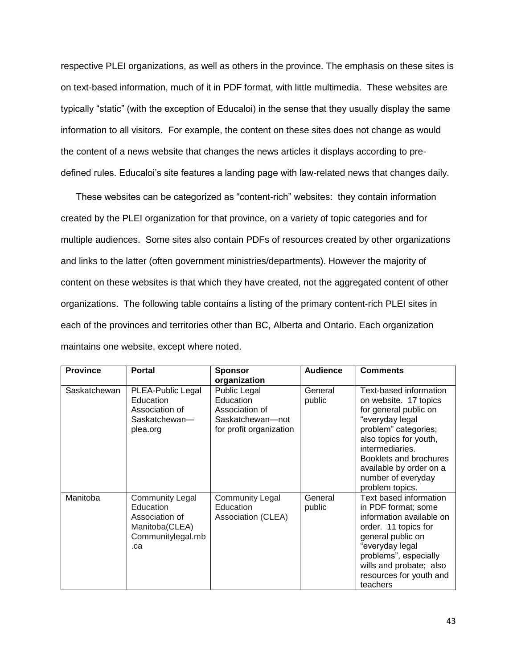respective PLEI organizations, as well as others in the province. The emphasis on these sites is on text-based information, much of it in PDF format, with little multimedia. These websites are typically "static" (with the exception of Educaloi) in the sense that they usually display the same information to all visitors. For example, the content on these sites does not change as would the content of a news website that changes the news articles it displays according to predefined rules. Educaloi's site features a landing page with law-related news that changes daily.

These websites can be categorized as "content-rich" websites: they contain information created by the PLEI organization for that province, on a variety of topic categories and for multiple audiences. Some sites also contain PDFs of resources created by other organizations and links to the latter (often government ministries/departments). However the majority of content on these websites is that which they have created, not the aggregated content of other organizations. The following table contains a listing of the primary content-rich PLEI sites in each of the provinces and territories other than BC, Alberta and Ontario. Each organization maintains one website, except where noted.

| <b>Province</b> | <b>Portal</b>                                                                                       | <b>Sponsor</b>                                                                             | <b>Audience</b>   | <b>Comments</b>                                                                                                                                                                                                                                                |
|-----------------|-----------------------------------------------------------------------------------------------------|--------------------------------------------------------------------------------------------|-------------------|----------------------------------------------------------------------------------------------------------------------------------------------------------------------------------------------------------------------------------------------------------------|
|                 |                                                                                                     | organization                                                                               |                   |                                                                                                                                                                                                                                                                |
| Saskatchewan    | PLEA-Public Legal<br>Education<br>Association of<br>Saskatchewan-<br>plea.org                       | Public Legal<br>Education<br>Association of<br>Saskatchewan-not<br>for profit organization | General<br>public | Text-based information<br>on website. 17 topics<br>for general public on<br>"everyday legal<br>problem" categories;<br>also topics for youth,<br>intermediaries.<br>Booklets and brochures<br>available by order on a<br>number of everyday<br>problem topics. |
| Manitoba        | <b>Community Legal</b><br>Education<br>Association of<br>Manitoba(CLEA)<br>Communitylegal.mb<br>.ca | <b>Community Legal</b><br>Education<br>Association (CLEA)                                  | General<br>public | Text based information<br>in PDF format; some<br>information available on<br>order. 11 topics for<br>general public on<br>"everyday legal<br>problems", especially<br>wills and probate; also<br>resources for youth and<br>teachers                           |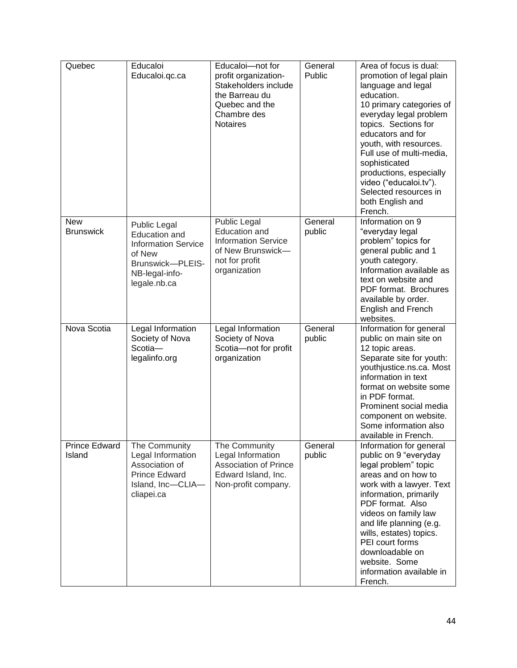| Quebec                         | Educaloi<br>Educaloi.qc.ca                                                                                                                | Educaloi-not for<br>profit organization-<br>Stakeholders include<br>the Barreau du<br>Quebec and the<br>Chambre des<br><b>Notaires</b> | General<br>Public | Area of focus is dual:<br>promotion of legal plain<br>language and legal<br>education.<br>10 primary categories of<br>everyday legal problem<br>topics. Sections for<br>educators and for<br>youth, with resources.<br>Full use of multi-media,<br>sophisticated<br>productions, especially<br>video ("educaloi.tv").<br>Selected resources in<br>both English and<br>French. |
|--------------------------------|-------------------------------------------------------------------------------------------------------------------------------------------|----------------------------------------------------------------------------------------------------------------------------------------|-------------------|-------------------------------------------------------------------------------------------------------------------------------------------------------------------------------------------------------------------------------------------------------------------------------------------------------------------------------------------------------------------------------|
| <b>New</b><br><b>Brunswick</b> | <b>Public Legal</b><br><b>Education and</b><br><b>Information Service</b><br>of New<br>Brunswick-PLEIS-<br>NB-legal-info-<br>legale.nb.ca | <b>Public Legal</b><br><b>Education and</b><br><b>Information Service</b><br>of New Brunswick-<br>not for profit<br>organization       | General<br>public | Information on 9<br>"everyday legal<br>problem" topics for<br>general public and 1<br>youth category.<br>Information available as<br>text on website and<br>PDF format. Brochures<br>available by order.<br>English and French<br>websites.                                                                                                                                   |
| Nova Scotia                    | Legal Information<br>Society of Nova<br>Scotia-<br>legalinfo.org                                                                          | Legal Information<br>Society of Nova<br>Scotia-not for profit<br>organization                                                          | General<br>public | Information for general<br>public on main site on<br>12 topic areas.<br>Separate site for youth:<br>youthjustice.ns.ca. Most<br>information in text<br>format on website some<br>in PDF format.<br>Prominent social media<br>component on website.<br>Some information also<br>available in French.                                                                           |
| <b>Prince Edward</b><br>Island | The Community<br>Legal Information<br>Association of<br><b>Prince Edward</b><br>Island, Inc-CLIA-<br>cliapei.ca                           | The Community<br>Legal Information<br><b>Association of Prince</b><br>Edward Island, Inc.<br>Non-profit company.                       | General<br>public | Information for general<br>public on 9 "everyday<br>legal problem" topic<br>areas and on how to<br>work with a lawyer. Text<br>information, primarily<br>PDF format. Also<br>videos on family law<br>and life planning (e.g.<br>wills, estates) topics.<br>PEI court forms<br>downloadable on<br>website. Some<br>information available in<br>French.                         |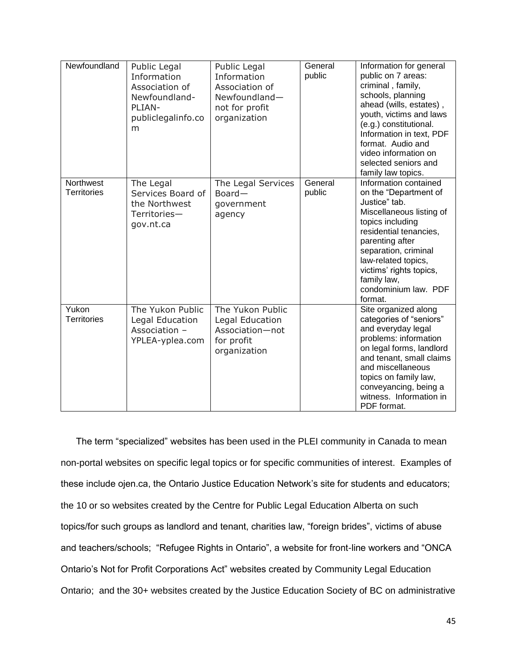| Newfoundland                    | Public Legal<br>Information<br>Association of<br>Newfoundland-<br>PLIAN-<br>publiclegalinfo.co<br>m | Public Legal<br>Information<br>Association of<br>Newfoundland-<br>not for profit<br>organization | General<br>public | Information for general<br>public on 7 areas:<br>criminal, family,<br>schools, planning<br>ahead (wills, estates),<br>youth, victims and laws<br>(e.g.) constitutional.<br>Information in text, PDF<br>format. Audio and<br>video information on<br>selected seniors and<br>family law topics. |
|---------------------------------|-----------------------------------------------------------------------------------------------------|--------------------------------------------------------------------------------------------------|-------------------|------------------------------------------------------------------------------------------------------------------------------------------------------------------------------------------------------------------------------------------------------------------------------------------------|
| Northwest<br><b>Territories</b> | The Legal<br>Services Board of<br>the Northwest<br>Territories-<br>gov.nt.ca                        | The Legal Services<br>Board-<br>government<br>agency                                             | General<br>public | Information contained<br>on the "Department of<br>Justice" tab.<br>Miscellaneous listing of<br>topics including<br>residential tenancies,<br>parenting after<br>separation, criminal<br>law-related topics,<br>victims' rights topics,<br>family law,<br>condominium law. PDF<br>format.       |
| Yukon<br><b>Territories</b>     | The Yukon Public<br>Legal Education<br>Association -<br>YPLEA-yplea.com                             | The Yukon Public<br>Legal Education<br>Association-not<br>for profit<br>organization             |                   | Site organized along<br>categories of "seniors"<br>and everyday legal<br>problems: information<br>on legal forms, landlord<br>and tenant, small claims<br>and miscellaneous<br>topics on family law,<br>conveyancing, being a<br>witness. Information in<br>PDF format.                        |

The term "specialized" websites has been used in the PLEI community in Canada to mean non-portal websites on specific legal topics or for specific communities of interest. Examples of these include ojen.ca, the Ontario Justice Education Network's site for students and educators; the 10 or so websites created by the Centre for Public Legal Education Alberta on such topics/for such groups as landlord and tenant, charities law, "foreign brides", victims of abuse and teachers/schools; "Refugee Rights in Ontario", a website for front-line workers and "ONCA Ontario's Not for Profit Corporations Act" websites created by Community Legal Education Ontario; and the 30+ websites created by the Justice Education Society of BC on administrative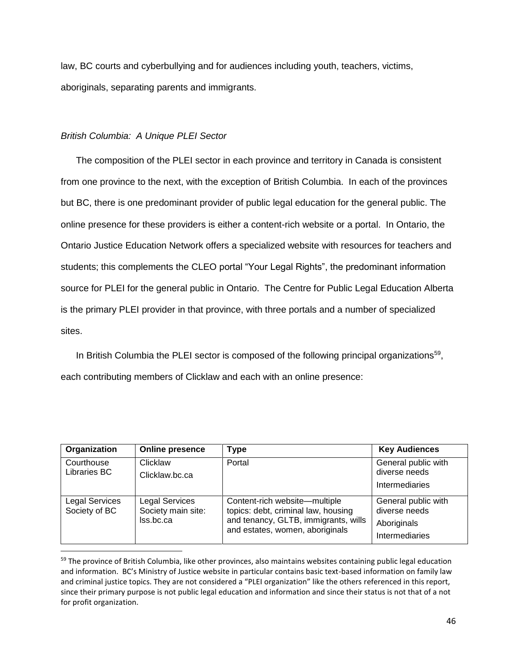law, BC courts and cyberbullying and for audiences including youth, teachers, victims, aboriginals, separating parents and immigrants.

# *British Columbia: A Unique PLEI Sector*

l

The composition of the PLEI sector in each province and territory in Canada is consistent from one province to the next, with the exception of British Columbia. In each of the provinces but BC, there is one predominant provider of public legal education for the general public. The online presence for these providers is either a content-rich website or a portal. In Ontario, the Ontario Justice Education Network offers a specialized website with resources for teachers and students; this complements the CLEO portal "Your Legal Rights", the predominant information source for PLEI for the general public in Ontario. The Centre for Public Legal Education Alberta is the primary PLEI provider in that province, with three portals and a number of specialized sites.

In British Columbia the PLEI sector is composed of the following principal organizations<sup>59</sup>, each contributing members of Clicklaw and each with an online presence:

| Organization                           | <b>Online presence</b>                                   | <b>Type</b>                                                                                                                                     | <b>Key Audiences</b>                                                  |
|----------------------------------------|----------------------------------------------------------|-------------------------------------------------------------------------------------------------------------------------------------------------|-----------------------------------------------------------------------|
| Courthouse<br>Libraries BC             | Clicklaw<br>Clicklaw.bc.ca                               | Portal                                                                                                                                          | General public with<br>diverse needs<br>Intermediaries                |
| <b>Legal Services</b><br>Society of BC | <b>Legal Services</b><br>Society main site:<br>Iss.bc.ca | Content-rich website-multiple<br>topics: debt, criminal law, housing<br>and tenancy, GLTB, immigrants, wills<br>and estates, women, aboriginals | General public with<br>diverse needs<br>Aboriginals<br>Intermediaries |

<sup>59</sup> The province of British Columbia, like other provinces, also maintains websites containing public legal education and information. BC's Ministry of Justice website in particular contains basic text-based information on family law and criminal justice topics. They are not considered a "PLEI organization" like the others referenced in this report, since their primary purpose is not public legal education and information and since their status is not that of a not for profit organization.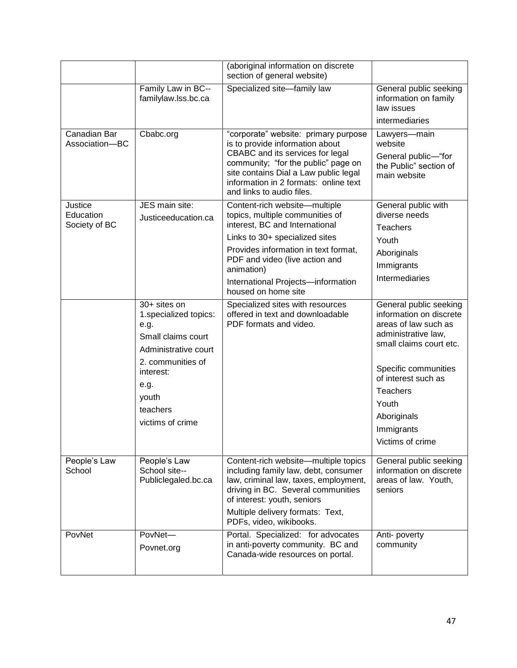|                                |                                                                     | (aboriginal information on discrete<br>section of general website)                                                                                                                         |                                                                                                                             |
|--------------------------------|---------------------------------------------------------------------|--------------------------------------------------------------------------------------------------------------------------------------------------------------------------------------------|-----------------------------------------------------------------------------------------------------------------------------|
|                                | Family Law in BC--<br>familylaw.lss.bc.ca                           | Specialized site-family law                                                                                                                                                                | General public seeking<br>information on family<br>law issues                                                               |
|                                |                                                                     |                                                                                                                                                                                            | intermediaries                                                                                                              |
| Canadian Bar<br>Association-BC | Cbabc.org                                                           | "corporate" website: primary purpose<br>is to provide information about<br>CBABC and its services for legal<br>community; "for the public" page on                                         | Lawyers-main<br>website<br>General public-"for<br>the Public" section of                                                    |
|                                |                                                                     | site contains Dial a Law public legal<br>information in 2 formats: online text<br>and links to audio files.                                                                                | main website                                                                                                                |
| Justice                        | JES main site:                                                      | Content-rich website-multiple                                                                                                                                                              | General public with                                                                                                         |
| Education<br>Society of BC     | Justiceeducation.ca                                                 | topics, multiple communities of<br>interest, BC and International                                                                                                                          | diverse needs                                                                                                               |
|                                |                                                                     | Links to 30+ specialized sites                                                                                                                                                             | <b>Teachers</b>                                                                                                             |
|                                |                                                                     | Provides information in text format,                                                                                                                                                       | Youth                                                                                                                       |
|                                |                                                                     | PDF and video (live action and                                                                                                                                                             | Aboriginals                                                                                                                 |
|                                |                                                                     | animation)                                                                                                                                                                                 | Immigrants                                                                                                                  |
|                                |                                                                     | International Projects-information<br>housed on home site                                                                                                                                  | Intermediaries                                                                                                              |
|                                | 30+ sites on<br>1.specialized topics:<br>e.g.<br>Small claims court | Specialized sites with resources<br>offered in text and downloadable<br>PDF formats and video.                                                                                             | General public seeking<br>information on discrete<br>areas of law such as<br>administrative law,<br>small claims court etc. |
|                                | Administrative court                                                |                                                                                                                                                                                            |                                                                                                                             |
|                                | 2. communities of<br>interest:                                      |                                                                                                                                                                                            | Specific communities<br>of interest such as                                                                                 |
|                                | e.g.                                                                |                                                                                                                                                                                            | <b>Teachers</b>                                                                                                             |
|                                | youth                                                               |                                                                                                                                                                                            | Youth                                                                                                                       |
|                                | teachers<br>victims of crime                                        |                                                                                                                                                                                            | Aboriginals                                                                                                                 |
|                                |                                                                     |                                                                                                                                                                                            | Immigrants                                                                                                                  |
|                                |                                                                     |                                                                                                                                                                                            | Victims of crime                                                                                                            |
| People's Law<br>School         | People's Law<br>School site--<br>Publiclegaled.bc.ca                | Content-rich website-multiple topics<br>including family law, debt, consumer<br>law, criminal law, taxes, employment,<br>driving in BC. Several communities<br>of interest: youth, seniors | General public seeking<br>information on discrete<br>areas of law. Youth,<br>seniors                                        |
|                                |                                                                     | Multiple delivery formats: Text,<br>PDFs, video, wikibooks.                                                                                                                                |                                                                                                                             |
| PovNet                         | PovNet-<br>Povnet.org                                               | Portal. Specialized: for advocates<br>in anti-poverty community. BC and<br>Canada-wide resources on portal.                                                                                | Anti-poverty<br>community                                                                                                   |
|                                |                                                                     |                                                                                                                                                                                            |                                                                                                                             |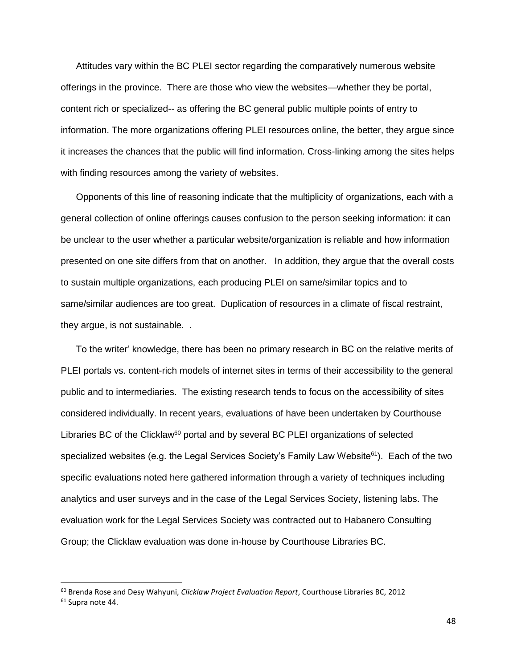Attitudes vary within the BC PLEI sector regarding the comparatively numerous website offerings in the province. There are those who view the websites—whether they be portal, content rich or specialized-- as offering the BC general public multiple points of entry to information. The more organizations offering PLEI resources online, the better, they argue since it increases the chances that the public will find information. Cross-linking among the sites helps with finding resources among the variety of websites.

Opponents of this line of reasoning indicate that the multiplicity of organizations, each with a general collection of online offerings causes confusion to the person seeking information: it can be unclear to the user whether a particular website/organization is reliable and how information presented on one site differs from that on another. In addition, they argue that the overall costs to sustain multiple organizations, each producing PLEI on same/similar topics and to same/similar audiences are too great. Duplication of resources in a climate of fiscal restraint, they argue, is not sustainable. .

To the writer' knowledge, there has been no primary research in BC on the relative merits of PLEI portals vs. content-rich models of internet sites in terms of their accessibility to the general public and to intermediaries. The existing research tends to focus on the accessibility of sites considered individually. In recent years, evaluations of have been undertaken by Courthouse Libraries BC of the Clicklaw<sup>60</sup> portal and by several BC PLEI organizations of selected specialized websites (e.g. the Legal Services Society's Family Law Website<sup>61</sup>). Each of the two specific evaluations noted here gathered information through a variety of techniques including analytics and user surveys and in the case of the Legal Services Society, listening labs. The evaluation work for the Legal Services Society was contracted out to Habanero Consulting Group; the Clicklaw evaluation was done in-house by Courthouse Libraries BC.

<sup>60</sup> Brenda Rose and Desy Wahyuni, *Clicklaw Project Evaluation Report*, Courthouse Libraries BC, 2012 <sup>61</sup> Supra note 44.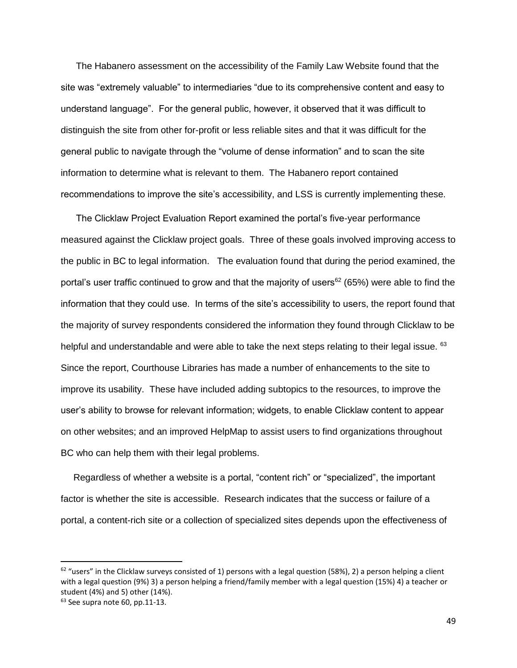The Habanero assessment on the accessibility of the Family Law Website found that the site was "extremely valuable" to intermediaries "due to its comprehensive content and easy to understand language". For the general public, however, it observed that it was difficult to distinguish the site from other for-profit or less reliable sites and that it was difficult for the general public to navigate through the "volume of dense information" and to scan the site information to determine what is relevant to them. The Habanero report contained recommendations to improve the site's accessibility, and LSS is currently implementing these.

The Clicklaw Project Evaluation Report examined the portal's five-year performance measured against the Clicklaw project goals. Three of these goals involved improving access to the public in BC to legal information. The evaluation found that during the period examined, the portal's user traffic continued to grow and that the majority of users<sup>62</sup> (65%) were able to find the information that they could use. In terms of the site's accessibility to users, the report found that the majority of survey respondents considered the information they found through Clicklaw to be helpful and understandable and were able to take the next steps relating to their legal issue.  $63$ Since the report, Courthouse Libraries has made a number of enhancements to the site to improve its usability. These have included adding subtopics to the resources, to improve the user's ability to browse for relevant information; widgets, to enable Clicklaw content to appear on other websites; and an improved HelpMap to assist users to find organizations throughout BC who can help them with their legal problems.

Regardless of whether a website is a portal, "content rich" or "specialized", the important factor is whether the site is accessible. Research indicates that the success or failure of a portal, a content-rich site or a collection of specialized sites depends upon the effectiveness of

 $\overline{a}$ 

 $62$  "users" in the Clicklaw surveys consisted of 1) persons with a legal question (58%), 2) a person helping a client with a legal question (9%) 3) a person helping a friend/family member with a legal question (15%) 4) a teacher or student (4%) and 5) other (14%).

 $63$  See supra note 60, pp.11-13.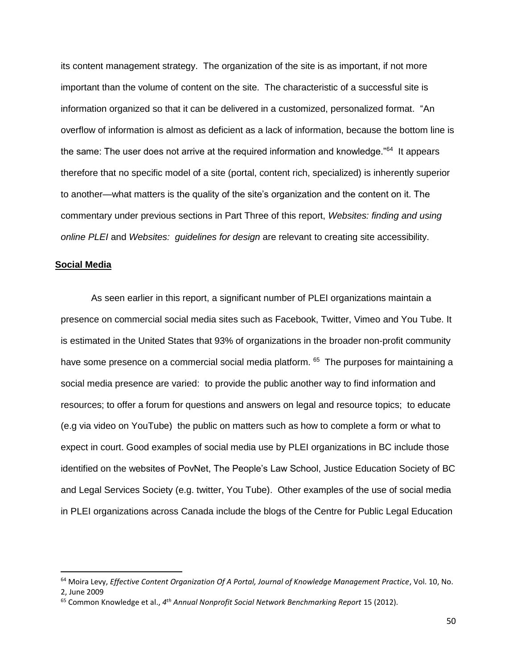its content management strategy. The organization of the site is as important, if not more important than the volume of content on the site. The characteristic of a successful site is information organized so that it can be delivered in a customized, personalized format. "An overflow of information is almost as deficient as a lack of information, because the bottom line is the same: The user does not arrive at the required information and knowledge."<sup>64</sup> It appears therefore that no specific model of a site (portal, content rich, specialized) is inherently superior to another—what matters is the quality of the site's organization and the content on it. The commentary under previous sections in Part Three of this report, *Websites: finding and using online PLEI* and *Websites: guidelines for design* are relevant to creating site accessibility.

#### **Social Media**

 $\overline{\phantom{a}}$ 

As seen earlier in this report, a significant number of PLEI organizations maintain a presence on commercial social media sites such as Facebook, Twitter, Vimeo and You Tube. It is estimated in the United States that 93% of organizations in the broader non-profit community have some presence on a commercial social media platform. <sup>65</sup> The purposes for maintaining a social media presence are varied: to provide the public another way to find information and resources; to offer a forum for questions and answers on legal and resource topics; to educate (e.g via video on YouTube) the public on matters such as how to complete a form or what to expect in court. Good examples of social media use by PLEI organizations in BC include those identified on the websites of PovNet, The People's Law School, Justice Education Society of BC and Legal Services Society (e.g. twitter, You Tube). Other examples of the use of social media in PLEI organizations across Canada include the blogs of the Centre for Public Legal Education

<sup>64</sup> Moira Levy, *Effective Content Organization Of A Portal, Journal of Knowledge Management Practice*, Vol. 10, No. 2, June 2009

<sup>65</sup> Common Knowledge et al., *4 th Annual Nonprofit Social Network Benchmarking Report* 15 (2012).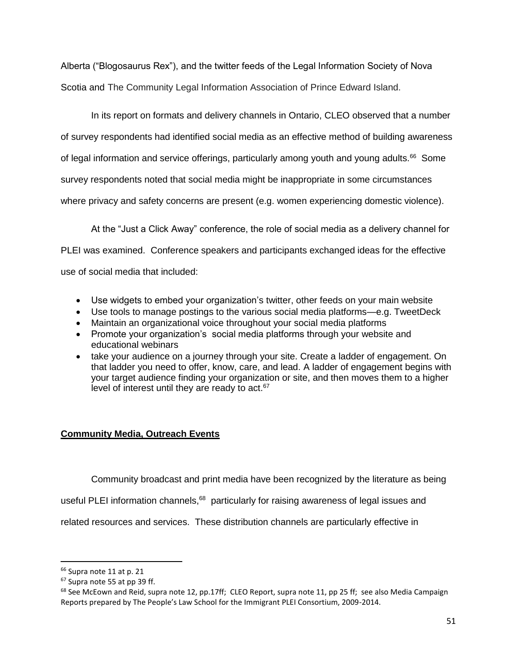Alberta ("Blogosaurus Rex"), and the twitter feeds of the Legal Information Society of Nova Scotia and The Community Legal Information Association of Prince Edward Island.

In its report on formats and delivery channels in Ontario, CLEO observed that a number of survey respondents had identified social media as an effective method of building awareness of legal information and service offerings, particularly among youth and young adults.<sup>66</sup> Some survey respondents noted that social media might be inappropriate in some circumstances where privacy and safety concerns are present (e.g. women experiencing domestic violence).

At the "Just a Click Away" conference, the role of social media as a delivery channel for PLEI was examined. Conference speakers and participants exchanged ideas for the effective use of social media that included:

- Use widgets to embed your organization's twitter, other feeds on your main website
- Use tools to manage postings to the various social media platforms—e.g. TweetDeck
- Maintain an organizational voice throughout your social media platforms
- Promote your organization's social media platforms through your website and educational webinars
- take your audience on a journey through your site. Create a ladder of engagement. On that ladder you need to offer, know, care, and lead. A ladder of engagement begins with your target audience finding your organization or site, and then moves them to a higher level of interest until they are ready to  $act.^{67}$

# **Community Media, Outreach Events**

Community broadcast and print media have been recognized by the literature as being

useful PLEI information channels,<sup>68</sup> particularly for raising awareness of legal issues and

related resources and services. These distribution channels are particularly effective in

 $\overline{a}$ 

<sup>66</sup> Supra note 11 at p. 21

<sup>67</sup> Supra note 55 at pp 39 ff.

 $68$  See McEown and Reid, supra note 12, pp.17ff; CLEO Report, supra note 11, pp 25 ff; see also Media Campaign Reports prepared by The People's Law School for the Immigrant PLEI Consortium, 2009-2014.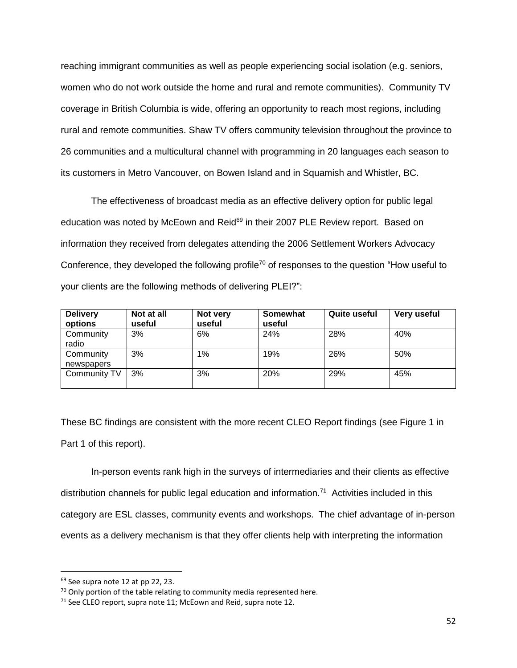reaching immigrant communities as well as people experiencing social isolation (e.g. seniors, women who do not work outside the home and rural and remote communities). Community TV coverage in British Columbia is wide, offering an opportunity to reach most regions, including rural and remote communities. Shaw TV offers community television throughout the province to 26 communities and a multicultural channel with programming in 20 languages each season to its customers in Metro Vancouver, on Bowen Island and in Squamish and Whistler, BC.

The effectiveness of broadcast media as an effective delivery option for public legal education was noted by McEown and Reid<sup>69</sup> in their 2007 PLE Review report. Based on information they received from delegates attending the 2006 Settlement Workers Advocacy Conference, they developed the following profile<sup>70</sup> of responses to the question "How useful to your clients are the following methods of delivering PLEI?":

| <b>Delivery</b><br>options | Not at all<br>useful | Not very<br>useful | Somewhat<br>useful | <b>Quite useful</b> | Very useful |
|----------------------------|----------------------|--------------------|--------------------|---------------------|-------------|
| Community<br>radio         | 3%                   | 6%                 | 24%                | 28%                 | 40%         |
| Community<br>newspapers    | 3%                   | $1\%$              | 19%                | 26%                 | 50%         |
| Community TV               | 3%                   | 3%                 | 20%                | 29%                 | 45%         |

These BC findings are consistent with the more recent CLEO Report findings (see Figure 1 in Part 1 of this report).

In-person events rank high in the surveys of intermediaries and their clients as effective distribution channels for public legal education and information.<sup>71</sup> Activities included in this category are ESL classes, community events and workshops. The chief advantage of in-person events as a delivery mechanism is that they offer clients help with interpreting the information

 $69$  See supra note 12 at pp 22, 23.

 $70$  Only portion of the table relating to community media represented here.

<sup>&</sup>lt;sup>71</sup> See CLEO report, supra note 11; McEown and Reid, supra note 12.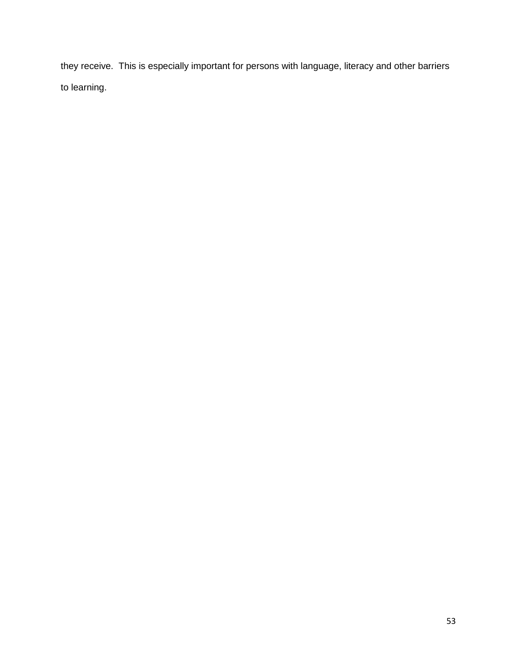they receive. This is especially important for persons with language, literacy and other barriers to learning.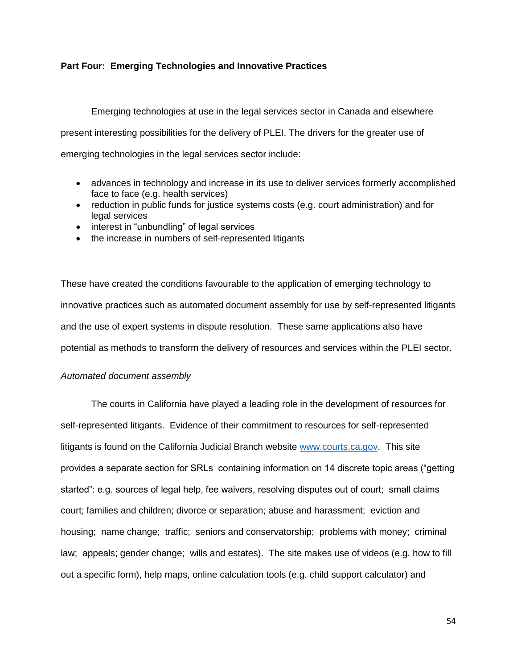# **Part Four: Emerging Technologies and Innovative Practices**

Emerging technologies at use in the legal services sector in Canada and elsewhere present interesting possibilities for the delivery of PLEI. The drivers for the greater use of emerging technologies in the legal services sector include:

- advances in technology and increase in its use to deliver services formerly accomplished face to face (e.g. health services)
- reduction in public funds for justice systems costs (e.g. court administration) and for legal services
- interest in "unbundling" of legal services
- the increase in numbers of self-represented litigants

These have created the conditions favourable to the application of emerging technology to innovative practices such as automated document assembly for use by self-represented litigants and the use of expert systems in dispute resolution. These same applications also have potential as methods to transform the delivery of resources and services within the PLEI sector.

# *Automated document assembly*

The courts in California have played a leading role in the development of resources for self-represented litigants. Evidence of their commitment to resources for self-represented litigants is found on the California Judicial Branch website [www.courts.ca.gov.](http://www.courts.ca.gov/) This site provides a separate section for SRLs containing information on 14 discrete topic areas ("getting started": e.g. sources of legal help, fee waivers, resolving disputes out of court; small claims court; families and children; divorce or separation; abuse and harassment; eviction and housing; name change; traffic; seniors and conservatorship; problems with money; criminal law; appeals; gender change; wills and estates). The site makes use of videos (e.g. how to fill out a specific form), help maps, online calculation tools (e.g. child support calculator) and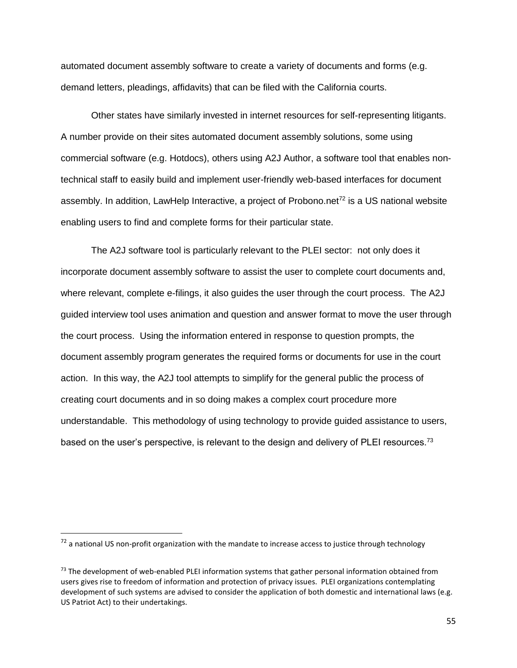automated document assembly software to create a variety of documents and forms (e.g. demand letters, pleadings, affidavits) that can be filed with the California courts.

Other states have similarly invested in internet resources for self-representing litigants. A number provide on their sites automated document assembly solutions, some using commercial software (e.g. Hotdocs), others using A2J Author, a software tool that enables nontechnical staff to easily build and implement user-friendly web-based interfaces for document assembly. In addition, LawHelp Interactive, a project of Probono.net<sup>72</sup> is a US national website enabling users to find and complete forms for their particular state.

The A2J software tool is particularly relevant to the PLEI sector: not only does it incorporate document assembly software to assist the user to complete court documents and, where relevant, complete e-filings, it also guides the user through the court process. The A2J guided interview tool uses animation and question and answer format to move the user through the court process. Using the information entered in response to question prompts, the document assembly program generates the required forms or documents for use in the court action. In this way, the A2J tool attempts to simplify for the general public the process of creating court documents and in so doing makes a complex court procedure more understandable. This methodology of using technology to provide guided assistance to users, based on the user's perspective, is relevant to the design and delivery of PLEI resources.<sup>73</sup>

 $72$  a national US non-profit organization with the mandate to increase access to justice through technology

<sup>73</sup> The development of web-enabled PLEI information systems that gather personal information obtained from users gives rise to freedom of information and protection of privacy issues. PLEI organizations contemplating development of such systems are advised to consider the application of both domestic and international laws (e.g. US Patriot Act) to their undertakings.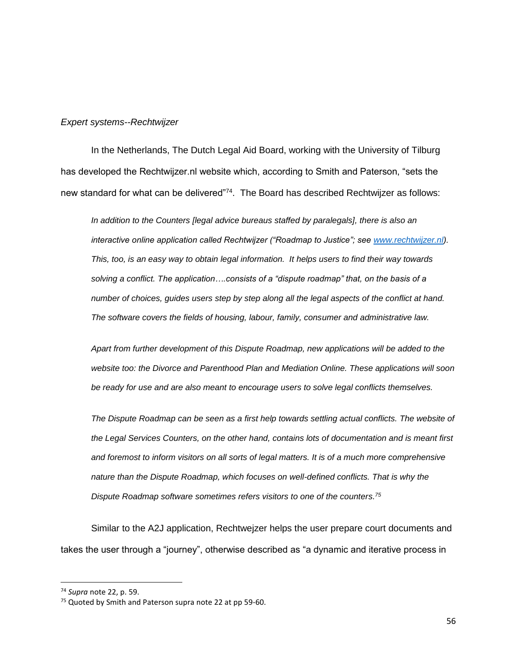#### *Expert systems--Rechtwijzer*

In the Netherlands, The Dutch Legal Aid Board, working with the University of Tilburg has developed the Rechtwijzer.nl website which, according to Smith and Paterson, "sets the new standard for what can be delivered"<sup>74</sup>. The Board has described Rechtwijzer as follows:

*In addition to the Counters [legal advice bureaus staffed by paralegals], there is also an interactive online application called Rechtwijzer ("Roadmap to Justice"; see [www.rechtwijzer.nl\)](http://www.rechtwijzer.nl/). This, too, is an easy way to obtain legal information. It helps users to find their way towards solving a conflict. The application….consists of a "dispute roadmap" that, on the basis of a number of choices, guides users step by step along all the legal aspects of the conflict at hand. The software covers the fields of housing, labour, family, consumer and administrative law.*

*Apart from further development of this Dispute Roadmap, new applications will be added to the website too: the Divorce and Parenthood Plan and Mediation Online. These applications will soon be ready for use and are also meant to encourage users to solve legal conflicts themselves.*

*The Dispute Roadmap can be seen as a first help towards settling actual conflicts. The website of the Legal Services Counters, on the other hand, contains lots of documentation and is meant first and foremost to inform visitors on all sorts of legal matters. It is of a much more comprehensive nature than the Dispute Roadmap, which focuses on well-defined conflicts. That is why the Dispute Roadmap software sometimes refers visitors to one of the counters.<sup>75</sup>*

Similar to the A2J application, Rechtwejzer helps the user prepare court documents and takes the user through a "journey", otherwise described as "a dynamic and iterative process in

<sup>74</sup> *Supra* note 22, p. 59.

<sup>&</sup>lt;sup>75</sup> Quoted by Smith and Paterson supra note 22 at pp 59-60.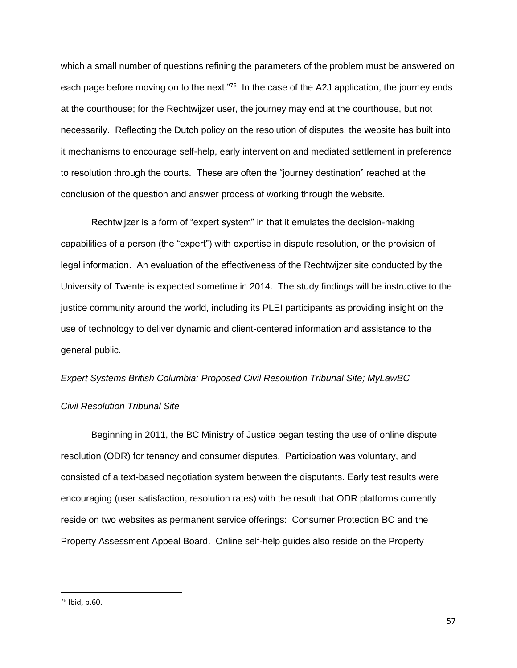which a small number of questions refining the parameters of the problem must be answered on each page before moving on to the next."<sup>76</sup> In the case of the A2J application, the journey ends at the courthouse; for the Rechtwijzer user, the journey may end at the courthouse, but not necessarily. Reflecting the Dutch policy on the resolution of disputes, the website has built into it mechanisms to encourage self-help, early intervention and mediated settlement in preference to resolution through the courts. These are often the "journey destination" reached at the conclusion of the question and answer process of working through the website.

Rechtwijzer is a form of "expert system" in that it emulates the decision-making capabilities of a person (the "expert") with expertise in dispute resolution, or the provision of legal information. An evaluation of the effectiveness of the Rechtwijzer site conducted by the University of Twente is expected sometime in 2014. The study findings will be instructive to the justice community around the world, including its PLEI participants as providing insight on the use of technology to deliver dynamic and client-centered information and assistance to the general public.

#### *Expert Systems British Columbia: Proposed Civil Resolution Tribunal Site; MyLawBC*

#### *Civil Resolution Tribunal Site*

Beginning in 2011, the BC Ministry of Justice began testing the use of online dispute resolution (ODR) for tenancy and consumer disputes. Participation was voluntary, and consisted of a text-based negotiation system between the disputants. Early test results were encouraging (user satisfaction, resolution rates) with the result that ODR platforms currently reside on two websites as permanent service offerings: Consumer Protection BC and the Property Assessment Appeal Board. Online self-help guides also reside on the Property

<sup>76</sup> Ibid, p.60.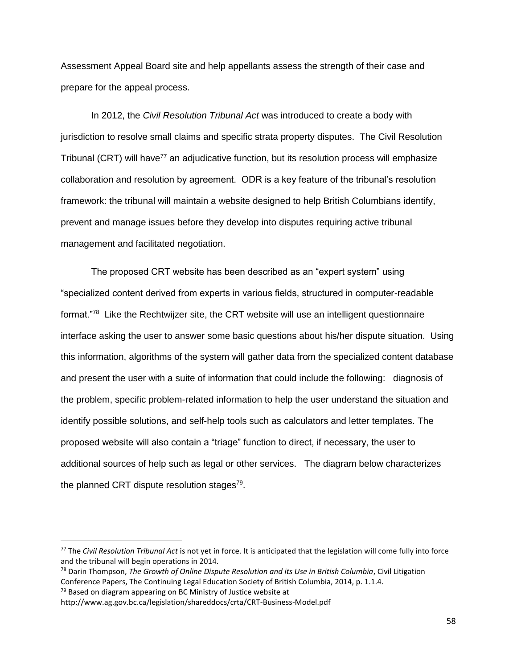Assessment Appeal Board site and help appellants assess the strength of their case and prepare for the appeal process.

In 2012, the *Civil Resolution Tribunal Act* was introduced to create a body with jurisdiction to resolve small claims and specific strata property disputes. The Civil Resolution Tribunal (CRT) will have<sup>77</sup> an adjudicative function, but its resolution process will emphasize collaboration and resolution by agreement. ODR is a key feature of the tribunal's resolution framework: the tribunal will maintain a website designed to help British Columbians identify, prevent and manage issues before they develop into disputes requiring active tribunal management and facilitated negotiation.

The proposed CRT website has been described as an "expert system" using "specialized content derived from experts in various fields, structured in computer-readable format."<sup>78</sup> Like the Rechtwijzer site, the CRT website will use an intelligent questionnaire interface asking the user to answer some basic questions about his/her dispute situation. Using this information, algorithms of the system will gather data from the specialized content database and present the user with a suite of information that could include the following: diagnosis of the problem, specific problem-related information to help the user understand the situation and identify possible solutions, and self-help tools such as calculators and letter templates. The proposed website will also contain a "triage" function to direct, if necessary, the user to additional sources of help such as legal or other services. The diagram below characterizes the planned CRT dispute resolution stages<sup>79</sup>.

 $\overline{a}$ 

<sup>77</sup> The *Civil Resolution Tribunal Act* is not yet in force. It is anticipated that the legislation will come fully into force and the tribunal will begin operations in 2014.

<sup>78</sup> Darin Thompson, *The Growth of Online Dispute Resolution and its Use in British Columbia*, Civil Litigation Conference Papers, The Continuing Legal Education Society of British Columbia, 2014, p. 1.1.4.  $79$  Based on diagram appearing on BC Ministry of Justice website at

http://www.ag.gov.bc.ca/legislation/shareddocs/crta/CRT-Business-Model.pdf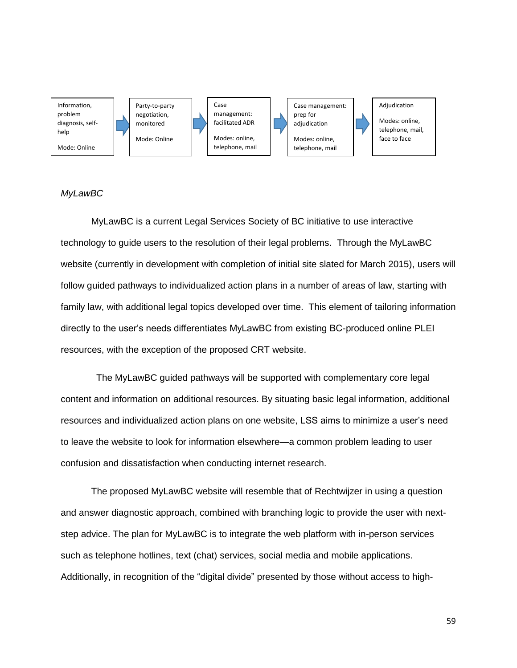

## *MyLawBC*

MyLawBC is a current Legal Services Society of BC initiative to use interactive technology to guide users to the resolution of their legal problems. Through the MyLawBC website (currently in development with completion of initial site slated for March 2015), users will follow guided pathways to individualized action plans in a number of areas of law, starting with family law, with additional legal topics developed over time. This element of tailoring information directly to the user's needs differentiates MyLawBC from existing BC-produced online PLEI resources, with the exception of the proposed CRT website.

The MyLawBC guided pathways will be supported with complementary core legal content and information on additional resources. By situating basic legal information, additional resources and individualized action plans on one website, LSS aims to minimize a user's need to leave the website to look for information elsewhere—a common problem leading to user confusion and dissatisfaction when conducting internet research.

The proposed MyLawBC website will resemble that of Rechtwijzer in using a question and answer diagnostic approach, combined with branching logic to provide the user with nextstep advice. The plan for MyLawBC is to integrate the web platform with in-person services such as telephone hotlines, text (chat) services, social media and mobile applications. Additionally, in recognition of the "digital divide" presented by those without access to high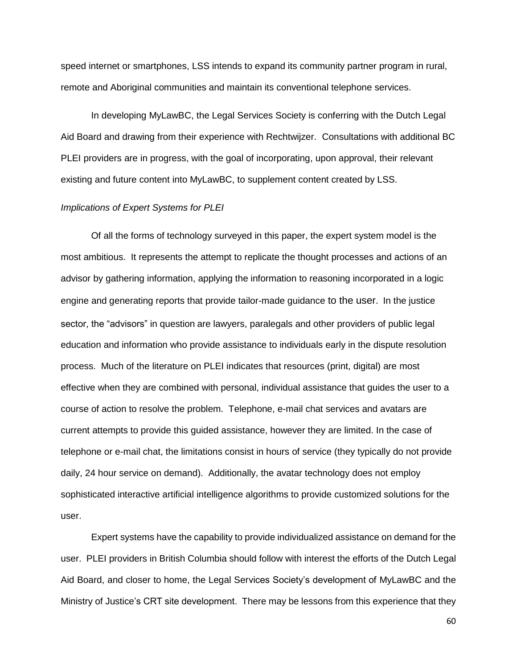speed internet or smartphones, LSS intends to expand its community partner program in rural, remote and Aboriginal communities and maintain its conventional telephone services.

In developing MyLawBC, the Legal Services Society is conferring with the Dutch Legal Aid Board and drawing from their experience with Rechtwijzer. Consultations with additional BC PLEI providers are in progress, with the goal of incorporating, upon approval, their relevant existing and future content into MyLawBC, to supplement content created by LSS.

#### *Implications of Expert Systems for PLEI*

Of all the forms of technology surveyed in this paper, the expert system model is the most ambitious. It represents the attempt to replicate the thought processes and actions of an advisor by gathering information, applying the information to reasoning incorporated in a logic engine and generating reports that provide tailor-made guidance to the user. In the justice sector, the "advisors" in question are lawyers, paralegals and other providers of public legal education and information who provide assistance to individuals early in the dispute resolution process. Much of the literature on PLEI indicates that resources (print, digital) are most effective when they are combined with personal, individual assistance that guides the user to a course of action to resolve the problem. Telephone, e-mail chat services and avatars are current attempts to provide this guided assistance, however they are limited. In the case of telephone or e-mail chat, the limitations consist in hours of service (they typically do not provide daily, 24 hour service on demand). Additionally, the avatar technology does not employ sophisticated interactive artificial intelligence algorithms to provide customized solutions for the user.

Expert systems have the capability to provide individualized assistance on demand for the user. PLEI providers in British Columbia should follow with interest the efforts of the Dutch Legal Aid Board, and closer to home, the Legal Services Society's development of MyLawBC and the Ministry of Justice's CRT site development. There may be lessons from this experience that they

60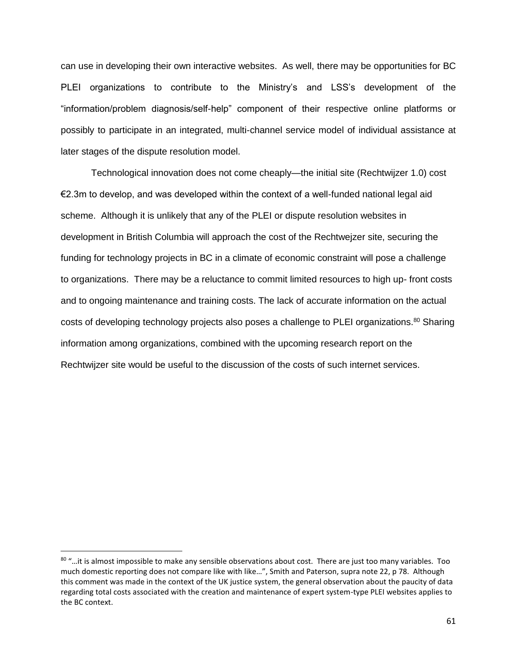can use in developing their own interactive websites. As well, there may be opportunities for BC PLEI organizations to contribute to the Ministry's and LSS's development of the "information/problem diagnosis/self-help" component of their respective online platforms or possibly to participate in an integrated, multi-channel service model of individual assistance at later stages of the dispute resolution model.

Technological innovation does not come cheaply—the initial site (Rechtwijzer 1.0) cost €2.3m to develop, and was developed within the context of a well-funded national legal aid scheme. Although it is unlikely that any of the PLEI or dispute resolution websites in development in British Columbia will approach the cost of the Rechtwejzer site, securing the funding for technology projects in BC in a climate of economic constraint will pose a challenge to organizations. There may be a reluctance to commit limited resources to high up- front costs and to ongoing maintenance and training costs. The lack of accurate information on the actual costs of developing technology projects also poses a challenge to PLEI organizations.<sup>80</sup> Sharing information among organizations, combined with the upcoming research report on the Rechtwijzer site would be useful to the discussion of the costs of such internet services.

<sup>80 &</sup>quot;...it is almost impossible to make any sensible observations about cost. There are just too many variables. Too much domestic reporting does not compare like with like…", Smith and Paterson, supra note 22, p 78. Although this comment was made in the context of the UK justice system, the general observation about the paucity of data regarding total costs associated with the creation and maintenance of expert system-type PLEI websites applies to the BC context.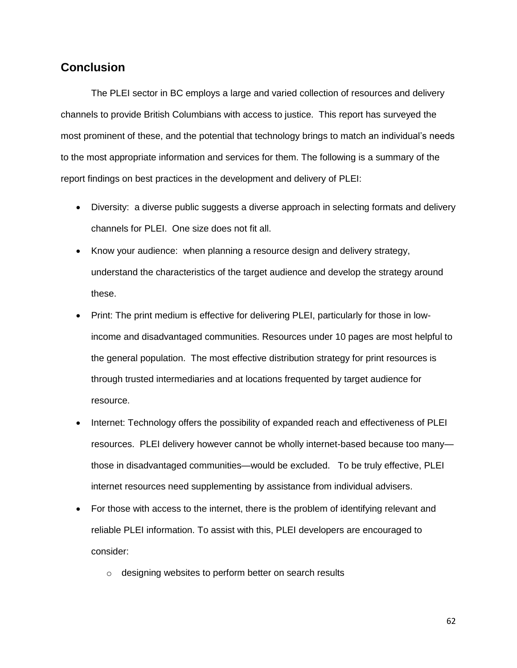# **Conclusion**

The PLEI sector in BC employs a large and varied collection of resources and delivery channels to provide British Columbians with access to justice. This report has surveyed the most prominent of these, and the potential that technology brings to match an individual's needs to the most appropriate information and services for them. The following is a summary of the report findings on best practices in the development and delivery of PLEI:

- Diversity: a diverse public suggests a diverse approach in selecting formats and delivery channels for PLEI. One size does not fit all.
- Know your audience: when planning a resource design and delivery strategy, understand the characteristics of the target audience and develop the strategy around these.
- Print: The print medium is effective for delivering PLEI, particularly for those in lowincome and disadvantaged communities. Resources under 10 pages are most helpful to the general population. The most effective distribution strategy for print resources is through trusted intermediaries and at locations frequented by target audience for resource.
- Internet: Technology offers the possibility of expanded reach and effectiveness of PLEI resources. PLEI delivery however cannot be wholly internet-based because too many those in disadvantaged communities—would be excluded. To be truly effective, PLEI internet resources need supplementing by assistance from individual advisers.
- For those with access to the internet, there is the problem of identifying relevant and reliable PLEI information. To assist with this, PLEI developers are encouraged to consider:
	- o designing websites to perform better on search results